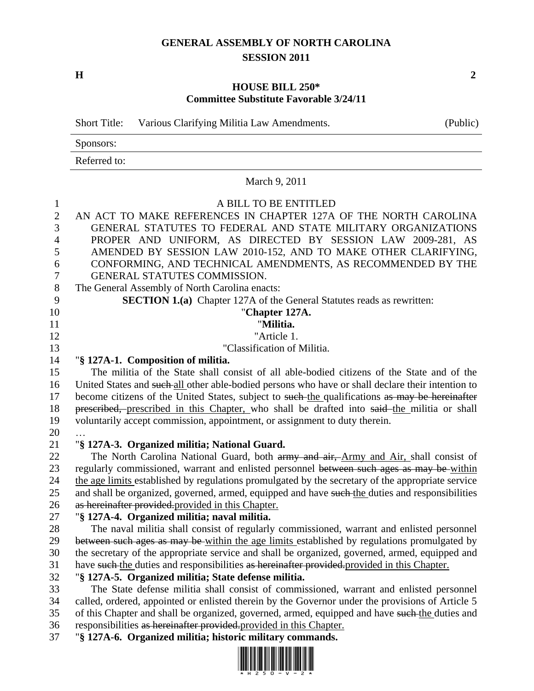# **GENERAL ASSEMBLY OF NORTH CAROLINA SESSION 2011**

**H 2**

#### **HOUSE BILL 250\* Committee Substitute Favorable 3/24/11**

Short Title: Various Clarifying Militia Law Amendments. (Public)

Sponsors:

Referred to:

March 9, 2011

| $\mathbf{1}$   | A BILL TO BE ENTITLED                                                                                                                                                                       |
|----------------|---------------------------------------------------------------------------------------------------------------------------------------------------------------------------------------------|
| $\overline{2}$ | AN ACT TO MAKE REFERENCES IN CHAPTER 127A OF THE NORTH CAROLINA                                                                                                                             |
| 3              | GENERAL STATUTES TO FEDERAL AND STATE MILITARY ORGANIZATIONS                                                                                                                                |
| $\overline{4}$ | PROPER AND UNIFORM, AS DIRECTED BY SESSION LAW 2009-281, AS                                                                                                                                 |
| 5              | AMENDED BY SESSION LAW 2010-152, AND TO MAKE OTHER CLARIFYING,                                                                                                                              |
| 6              | CONFORMING, AND TECHNICAL AMENDMENTS, AS RECOMMENDED BY THE                                                                                                                                 |
| $\tau$         | GENERAL STATUTES COMMISSION.                                                                                                                                                                |
| $8\,$          | The General Assembly of North Carolina enacts:                                                                                                                                              |
| 9              | <b>SECTION 1.(a)</b> Chapter 127A of the General Statutes reads as rewritten:                                                                                                               |
| 10             | "Chapter 127A.                                                                                                                                                                              |
| 11             | "Militia.                                                                                                                                                                                   |
| 12             | "Article 1.                                                                                                                                                                                 |
| 13             | "Classification of Militia.                                                                                                                                                                 |
| 14             | "§ 127A-1. Composition of militia.                                                                                                                                                          |
| 15             | The militia of the State shall consist of all able-bodied citizens of the State and of the                                                                                                  |
| 16             | United States and such all other able-bodied persons who have or shall declare their intention to                                                                                           |
| 17             | become citizens of the United States, subject to such the qualifications as may be hereinafter                                                                                              |
| 18             | prescribed, prescribed in this Chapter, who shall be drafted into said-the militia or shall                                                                                                 |
| 19             | voluntarily accept commission, appointment, or assignment to duty therein.                                                                                                                  |
| 20             |                                                                                                                                                                                             |
| 21             | "§ 127A-3. Organized militia; National Guard.                                                                                                                                               |
| 22             | The North Carolina National Guard, both army and air, Army and Air, shall consist of                                                                                                        |
| 23             | regularly commissioned, warrant and enlisted personnel between such ages as may be within                                                                                                   |
| 24             | the age limits established by regulations promulgated by the secretary of the appropriate service                                                                                           |
| 25             | and shall be organized, governed, armed, equipped and have such the duties and responsibilities                                                                                             |
| 26             | as hereinafter provided.provided in this Chapter.                                                                                                                                           |
| 27             | "§ 127A-4. Organized militia; naval militia.                                                                                                                                                |
| 28             | The naval militia shall consist of regularly commissioned, warrant and enlisted personnel                                                                                                   |
| 29             | between such ages as may be within the age limits established by regulations promulgated by                                                                                                 |
| 30             | the secretary of the appropriate service and shall be organized, governed, armed, equipped and                                                                                              |
| 31             | have such the duties and responsibilities as hereinafter provided provided in this Chapter.                                                                                                 |
| 32             | "§ 127A-5. Organized militia; State defense militia.                                                                                                                                        |
| 33<br>34       | The State defense militia shall consist of commissioned, warrant and enlisted personnel<br>called, ordered, appointed or enlisted therein by the Governor under the provisions of Article 5 |
| 35             | of this Chapter and shall be organized, governed, armed, equipped and have such the duties and                                                                                              |
| 36             | responsibilities as hereinafter provided.provided in this Chapter.                                                                                                                          |
| 37             | "§ 127A-6. Organized militia; historic military commands.                                                                                                                                   |
|                |                                                                                                                                                                                             |

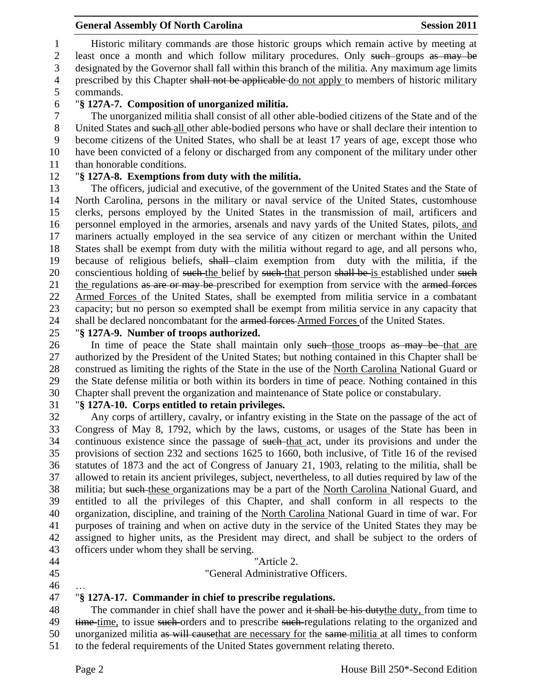Historic military commands are those historic groups which remain active by meeting at 2 least once a month and which follow military procedures. Only such groups as may be designated by the Governor shall fall within this branch of the militia. Any maximum age limits 4 prescribed by this Chapter shall not be applicable do not apply to members of historic military commands.

## "**§ 127A-7. Composition of unorganized militia.**

 The unorganized militia shall consist of all other able-bodied citizens of the State and of the 8 United States and such-all other able-bodied persons who have or shall declare their intention to become citizens of the United States, who shall be at least 17 years of age, except those who have been convicted of a felony or discharged from any component of the military under other than honorable conditions.

# "**§ 127A-8. Exemptions from duty with the militia.**

 The officers, judicial and executive, of the government of the United States and the State of North Carolina, persons in the military or naval service of the United States, customhouse clerks, persons employed by the United States in the transmission of mail, artificers and personnel employed in the armories, arsenals and navy yards of the United States, pilots, and mariners actually employed in the sea service of any citizen or merchant within the United States shall be exempt from duty with the militia without regard to age, and all persons who, because of religious beliefs, shall claim exemption from duty with the militia, if the 20 conscientious holding of such the belief by such that person shall be is established under such 21 the regulations as are or may be prescribed for exemption from service with the armed forces Armed Forces of the United States, shall be exempted from militia service in a combatant capacity; but no person so exempted shall be exempt from militia service in any capacity that 24 shall be declared noncombatant for the armed forces Armed Forces of the United States.

### "**§ 127A-9. Number of troops authorized.**

26 In time of peace the State shall maintain only such those troops as may be that are authorized by the President of the United States; but nothing contained in this Chapter shall be construed as limiting the rights of the State in the use of the North Carolina National Guard or the State defense militia or both within its borders in time of peace. Nothing contained in this Chapter shall prevent the organization and maintenance of State police or constabulary.

# "**§ 127A-10. Corps entitled to retain privileges.**

 Any corps of artillery, cavalry, or infantry existing in the State on the passage of the act of Congress of May 8, 1792, which by the laws, customs, or usages of the State has been in 34 continuous existence since the passage of such that act, under its provisions and under the provisions of section 232 and sections 1625 to 1660, both inclusive, of Title 16 of the revised statutes of 1873 and the act of Congress of January 21, 1903, relating to the militia, shall be allowed to retain its ancient privileges, subject, nevertheless, to all duties required by law of the militia; but such these organizations may be a part of the North Carolina National Guard, and entitled to all the privileges of this Chapter, and shall conform in all respects to the organization, discipline, and training of the North Carolina National Guard in time of war. For purposes of training and when on active duty in the service of the United States they may be assigned to higher units, as the President may direct, and shall be subject to the orders of officers under whom they shall be serving.

## "Article 2.

### "General Administrative Officers.

…

# "**§ 127A-17. Commander in chief to prescribe regulations.**

48 The commander in chief shall have the power and it shall be his dutythe duty, from time to 49 time time, to issue such orders and to prescribe such regulations relating to the organized and 50 unorganized militia as will cause that are necessary for the same-militia at all times to conform

to the federal requirements of the United States government relating thereto.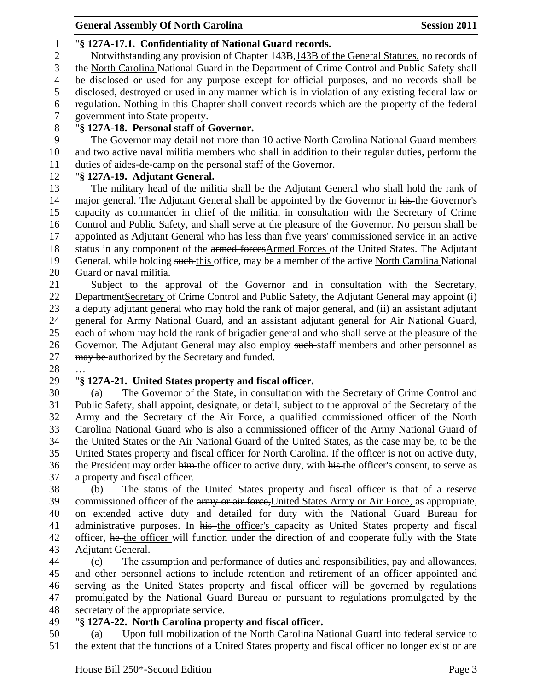# "**§ 127A-17.1. Confidentiality of National Guard records.**

2 Notwithstanding any provision of Chapter  $\frac{143B}{143B}$  of the General Statutes, no records of the North Carolina National Guard in the Department of Crime Control and Public Safety shall be disclosed or used for any purpose except for official purposes, and no records shall be disclosed, destroyed or used in any manner which is in violation of any existing federal law or regulation. Nothing in this Chapter shall convert records which are the property of the federal government into State property.

## "**§ 127A-18. Personal staff of Governor.**

9 The Governor may detail not more than 10 active North Carolina National Guard members and two active naval militia members who shall in addition to their regular duties, perform the duties of aides-de-camp on the personal staff of the Governor.

# "**§ 127A-19. Adjutant General.**

 The military head of the militia shall be the Adjutant General who shall hold the rank of 14 major general. The Adjutant General shall be appointed by the Governor in his the Governor's capacity as commander in chief of the militia, in consultation with the Secretary of Crime Control and Public Safety, and shall serve at the pleasure of the Governor. No person shall be appointed as Adjutant General who has less than five years' commissioned service in an active status in any component of the armed forcesArmed Forces of the United States. The Adjutant 19 General, while holding such this office, may be a member of the active North Carolina National Guard or naval militia.

21 Subject to the approval of the Governor and in consultation with the Secretary, 22 <del>Department</del>Secretary of Crime Control and Public Safety, the Adjutant General may appoint (i) a deputy adjutant general who may hold the rank of major general, and (ii) an assistant adjutant general for Army National Guard, and an assistant adjutant general for Air National Guard, each of whom may hold the rank of brigadier general and who shall serve at the pleasure of the 26 Governor. The Adjutant General may also employ such staff members and other personnel as 27 may be authorized by the Secretary and funded.

…

# "**§ 127A-21. United States property and fiscal officer.**

 (a) The Governor of the State, in consultation with the Secretary of Crime Control and Public Safety, shall appoint, designate, or detail, subject to the approval of the Secretary of the Army and the Secretary of the Air Force, a qualified commissioned officer of the North Carolina National Guard who is also a commissioned officer of the Army National Guard of the United States or the Air National Guard of the United States, as the case may be, to be the United States property and fiscal officer for North Carolina. If the officer is not on active duty, 36 the President may order him the officer to active duty, with his the officer's consent, to serve as a property and fiscal officer.

 (b) The status of the United States property and fiscal officer is that of a reserve 39 commissioned officer of the army or air force, United States Army or Air Force, as appropriate, on extended active duty and detailed for duty with the National Guard Bureau for 41 administrative purposes. In his the officer's capacity as United States property and fiscal 42 officer, he the officer will function under the direction of and cooperate fully with the State Adjutant General.

 (c) The assumption and performance of duties and responsibilities, pay and allowances, and other personnel actions to include retention and retirement of an officer appointed and serving as the United States property and fiscal officer will be governed by regulations promulgated by the National Guard Bureau or pursuant to regulations promulgated by the secretary of the appropriate service.

# "**§ 127A-22. North Carolina property and fiscal officer.**

 (a) Upon full mobilization of the North Carolina National Guard into federal service to the extent that the functions of a United States property and fiscal officer no longer exist or are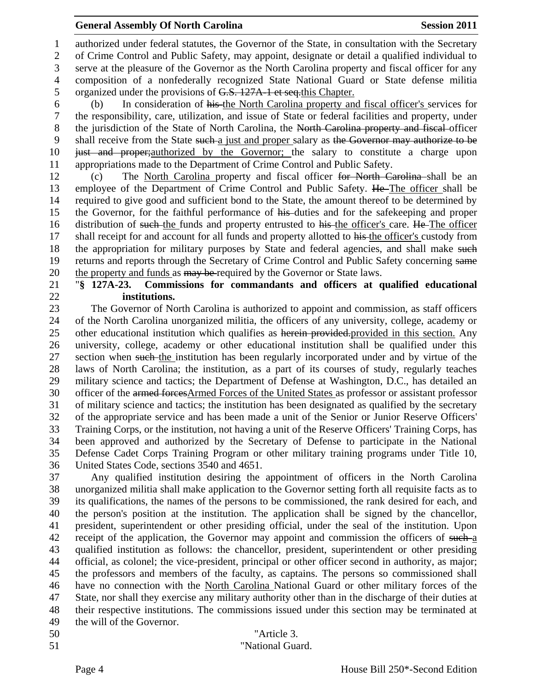authorized under federal statutes, the Governor of the State, in consultation with the Secretary of Crime Control and Public Safety, may appoint, designate or detail a qualified individual to serve at the pleasure of the Governor as the North Carolina property and fiscal officer for any composition of a nonfederally recognized State National Guard or State defense militia 5 organized under the provisions of G.S. 127A-1 et seq.this Chapter.

 (b) In consideration of his the North Carolina property and fiscal officer's services for the responsibility, care, utilization, and issue of State or federal facilities and property, under 8 the jurisdiction of the State of North Carolina, the North Carolina property and fiscal officer 9 shall receive from the State such a just and proper salary as the Governor may authorize to be just and proper;authorized by the Governor; the salary to constitute a charge upon appropriations made to the Department of Crime Control and Public Safety.

 (c) The North Carolina property and fiscal officer for North Carolina shall be an 13 employee of the Department of Crime Control and Public Safety. He The officer shall be required to give good and sufficient bond to the State, the amount thereof to be determined by the Governor, for the faithful performance of his duties and for the safekeeping and proper 16 distribution of such the funds and property entrusted to his the officer's care. He The officer 17 shall receipt for and account for all funds and property allotted to his the officer's custody from 18 the appropriation for military purposes by State and federal agencies, and shall make such returns and reports through the Secretary of Crime Control and Public Safety concerning same 20 the property and funds as may be required by the Governor or State laws.

#### "**§ 127A-23. Commissions for commandants and officers at qualified educational institutions.**

 The Governor of North Carolina is authorized to appoint and commission, as staff officers of the North Carolina unorganized militia, the officers of any university, college, academy or 25 other educational institution which qualifies as herein provided-provided in this section. Any university, college, academy or other educational institution shall be qualified under this 27 section when such the institution has been regularly incorporated under and by virtue of the laws of North Carolina; the institution, as a part of its courses of study, regularly teaches military science and tactics; the Department of Defense at Washington, D.C., has detailed an 30 officer of the armed forcesArmed Forces of the United States as professor or assistant professor of military science and tactics; the institution has been designated as qualified by the secretary of the appropriate service and has been made a unit of the Senior or Junior Reserve Officers' Training Corps, or the institution, not having a unit of the Reserve Officers' Training Corps, has been approved and authorized by the Secretary of Defense to participate in the National Defense Cadet Corps Training Program or other military training programs under Title 10, United States Code, sections 3540 and 4651.

 Any qualified institution desiring the appointment of officers in the North Carolina unorganized militia shall make application to the Governor setting forth all requisite facts as to its qualifications, the names of the persons to be commissioned, the rank desired for each, and the person's position at the institution. The application shall be signed by the chancellor, president, superintendent or other presiding official, under the seal of the institution. Upon 42 receipt of the application, the Governor may appoint and commission the officers of such-a qualified institution as follows: the chancellor, president, superintendent or other presiding official, as colonel; the vice-president, principal or other officer second in authority, as major; the professors and members of the faculty, as captains. The persons so commissioned shall have no connection with the North Carolina National Guard or other military forces of the State, nor shall they exercise any military authority other than in the discharge of their duties at their respective institutions. The commissions issued under this section may be terminated at the will of the Governor.

- "Article 3.
-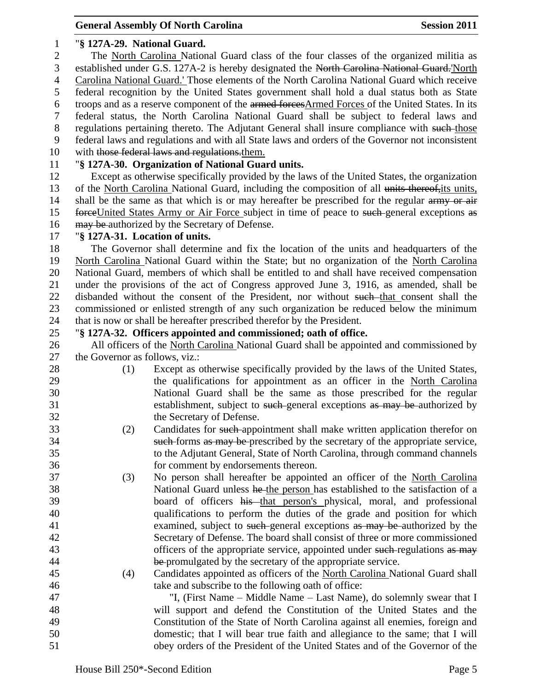#### "**§ 127A-29. National Guard.**

 The North Carolina National Guard class of the four classes of the organized militia as established under G.S. 127A-2 is hereby designated the North Carolina National Guard.'North Carolina National Guard.' Those elements of the North Carolina National Guard which receive federal recognition by the United States government shall hold a dual status both as State 6 troops and as a reserve component of the armed forcesArmed Forces of the United States. In its federal status, the North Carolina National Guard shall be subject to federal laws and 8 regulations pertaining thereto. The Adjutant General shall insure compliance with such those federal laws and regulations and with all State laws and orders of the Governor not inconsistent

10 with those federal laws and regulations. them.

## "**§ 127A-30. Organization of National Guard units.**

 Except as otherwise specifically provided by the laws of the United States, the organization of the North Carolina National Guard, including the composition of all units thereof,its units, 14 shall be the same as that which is or may hereafter be prescribed for the regular army or air 15 forceUnited States Army or Air Force subject in time of peace to such general exceptions as 16 may be authorized by the Secretary of Defense.

### "**§ 127A-31. Location of units.**

 The Governor shall determine and fix the location of the units and headquarters of the North Carolina National Guard within the State; but no organization of the North Carolina National Guard, members of which shall be entitled to and shall have received compensation under the provisions of the act of Congress approved June 3, 1916, as amended, shall be 22 disbanded without the consent of the President, nor without such that consent shall the commissioned or enlisted strength of any such organization be reduced below the minimum that is now or shall be hereafter prescribed therefor by the President.

### "**§ 127A-32. Officers appointed and commissioned; oath of office.**

 All officers of the North Carolina National Guard shall be appointed and commissioned by the Governor as follows, viz.:

- (1) Except as otherwise specifically provided by the laws of the United States, the qualifications for appointment as an officer in the North Carolina National Guard shall be the same as those prescribed for the regular 31 establishment, subject to such general exceptions as may be authorized by the Secretary of Defense.
- (2) Candidates for such appointment shall make written application therefor on such forms as may be prescribed by the secretary of the appropriate service, to the Adjutant General, State of North Carolina, through command channels for comment by endorsements thereon.
- (3) No person shall hereafter be appointed an officer of the North Carolina National Guard unless he the person has established to the satisfaction of a 39 board of officers his that person's physical, moral, and professional qualifications to perform the duties of the grade and position for which 41 examined, subject to such general exceptions as may be authorized by the Secretary of Defense. The board shall consist of three or more commissioned 43 officers of the appropriate service, appointed under such regulations as may 44 be promulgated by the secretary of the appropriate service.
- (4) Candidates appointed as officers of the North Carolina National Guard shall take and subscribe to the following oath of office:
- "I, (First Name Middle Name Last Name), do solemnly swear that I will support and defend the Constitution of the United States and the Constitution of the State of North Carolina against all enemies, foreign and domestic; that I will bear true faith and allegiance to the same; that I will obey orders of the President of the United States and of the Governor of the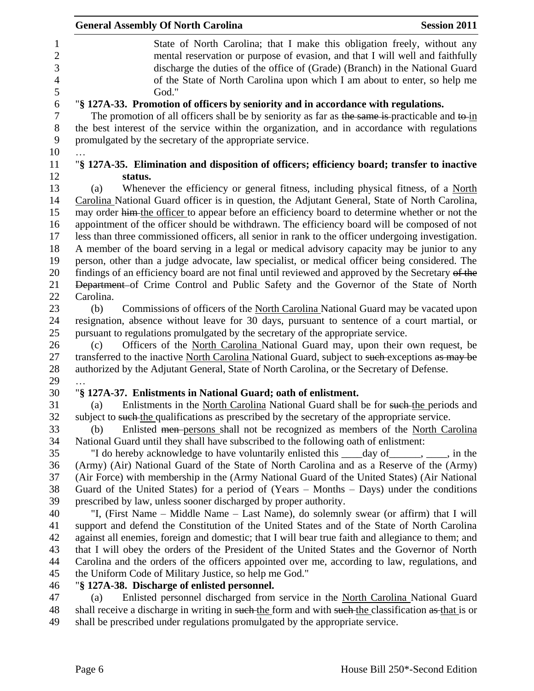| <b>General Assembly Of North Carolina</b><br><b>Session 2011</b>                                                                                                                                                                                                                                                                |
|---------------------------------------------------------------------------------------------------------------------------------------------------------------------------------------------------------------------------------------------------------------------------------------------------------------------------------|
| State of North Carolina; that I make this obligation freely, without any<br>mental reservation or purpose of evasion, and that I will well and faithfully<br>discharge the duties of the office of (Grade) (Branch) in the National Guard<br>of the State of North Carolina upon which I am about to enter, so help me<br>God." |
| "§ 127A-33. Promotion of officers by seniority and in accordance with regulations.<br>The promotion of all officers shall be by seniority as far as the same is-practicable and to-in<br>the best interest of the service within the organization, and in accordance with regulations                                           |
| promulgated by the secretary of the appropriate service.                                                                                                                                                                                                                                                                        |
| "§ 127A-35. Elimination and disposition of officers; efficiency board; transfer to inactive                                                                                                                                                                                                                                     |
| status.                                                                                                                                                                                                                                                                                                                         |
| Whenever the efficiency or general fitness, including physical fitness, of a North<br>(a)                                                                                                                                                                                                                                       |
| Carolina National Guard officer is in question, the Adjutant General, State of North Carolina,                                                                                                                                                                                                                                  |
| may order him the officer to appear before an efficiency board to determine whether or not the                                                                                                                                                                                                                                  |
| appointment of the officer should be withdrawn. The efficiency board will be composed of not                                                                                                                                                                                                                                    |
| less than three commissioned officers, all senior in rank to the officer undergoing investigation.                                                                                                                                                                                                                              |
| A member of the board serving in a legal or medical advisory capacity may be junior to any                                                                                                                                                                                                                                      |
| person, other than a judge advocate, law specialist, or medical officer being considered. The                                                                                                                                                                                                                                   |
| findings of an efficiency board are not final until reviewed and approved by the Secretary of the                                                                                                                                                                                                                               |
| Department of Crime Control and Public Safety and the Governor of the State of North                                                                                                                                                                                                                                            |
| Carolina.                                                                                                                                                                                                                                                                                                                       |
| Commissions of officers of the North Carolina National Guard may be vacated upon<br>(b)                                                                                                                                                                                                                                         |
| resignation, absence without leave for 30 days, pursuant to sentence of a court martial, or                                                                                                                                                                                                                                     |
| pursuant to regulations promulgated by the secretary of the appropriate service.                                                                                                                                                                                                                                                |
| Officers of the North Carolina National Guard may, upon their own request, be<br>(c)<br>transferred to the inactive North Carolina National Guard, subject to such exceptions as may be                                                                                                                                         |
| authorized by the Adjutant General, State of North Carolina, or the Secretary of Defense.                                                                                                                                                                                                                                       |
|                                                                                                                                                                                                                                                                                                                                 |
| "§ 127A-37. Enlistments in National Guard; oath of enlistment.                                                                                                                                                                                                                                                                  |
| Enlistments in the North Carolina National Guard shall be for such the periods and<br>(a)                                                                                                                                                                                                                                       |
| subject to such the qualifications as prescribed by the secretary of the appropriate service.                                                                                                                                                                                                                                   |
| Enlisted men-persons shall not be recognized as members of the North Carolina<br>(b)                                                                                                                                                                                                                                            |
| National Guard until they shall have subscribed to the following oath of enlistment:                                                                                                                                                                                                                                            |
| "I do hereby acknowledge to have voluntarily enlisted this _____day of _______, ____, in the                                                                                                                                                                                                                                    |
| (Army) (Air) National Guard of the State of North Carolina and as a Reserve of the (Army)                                                                                                                                                                                                                                       |
| (Air Force) with membership in the (Army National Guard of the United States) (Air National                                                                                                                                                                                                                                     |
| Guard of the United States) for a period of $(Years - Months - Days)$ under the conditions                                                                                                                                                                                                                                      |
| prescribed by law, unless sooner discharged by proper authority.                                                                                                                                                                                                                                                                |
| "I, (First Name – Middle Name – Last Name), do solemnly swear (or affirm) that I will                                                                                                                                                                                                                                           |
| support and defend the Constitution of the United States and of the State of North Carolina                                                                                                                                                                                                                                     |
| against all enemies, foreign and domestic; that I will bear true faith and allegiance to them; and                                                                                                                                                                                                                              |
| that I will obey the orders of the President of the United States and the Governor of North                                                                                                                                                                                                                                     |
| Carolina and the orders of the officers appointed over me, according to law, regulations, and                                                                                                                                                                                                                                   |
| the Uniform Code of Military Justice, so help me God."                                                                                                                                                                                                                                                                          |
| "§ 127A-38. Discharge of enlisted personnel.                                                                                                                                                                                                                                                                                    |
| Enlisted personnel discharged from service in the North Carolina National Guard<br>(a)                                                                                                                                                                                                                                          |
| shall receive a discharge in writing in such the form and with such the classification as that is or                                                                                                                                                                                                                            |
| shall be prescribed under regulations promulgated by the appropriate service.                                                                                                                                                                                                                                                   |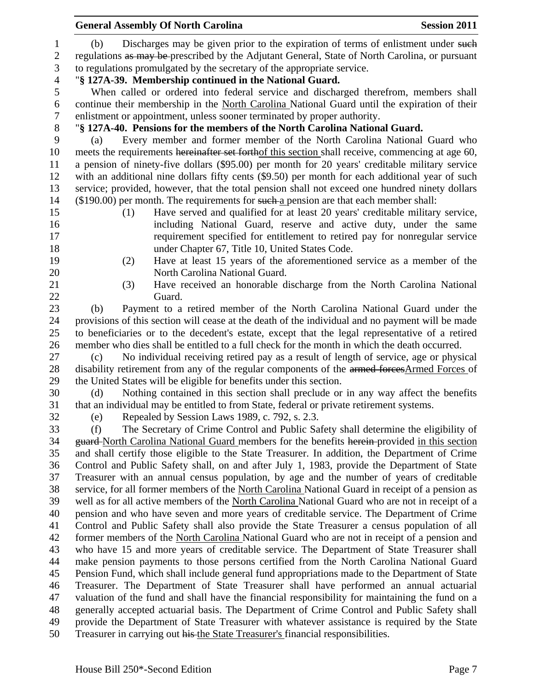|                                   | <b>General Assembly Of North Carolina</b>                                                                                                                                                  | <b>Session 2011</b> |
|-----------------------------------|--------------------------------------------------------------------------------------------------------------------------------------------------------------------------------------------|---------------------|
| $\mathbf{1}$<br>$\mathbf{2}$<br>3 | Discharges may be given prior to the expiration of terms of enlistment under such<br>(b)<br>regulations as may be prescribed by the Adjutant General, State of North Carolina, or pursuant |                     |
|                                   | to regulations promulgated by the secretary of the appropriate service.                                                                                                                    |                     |
| $\overline{4}$                    | "§ 127A-39. Membership continued in the National Guard.                                                                                                                                    |                     |
| 5                                 | When called or ordered into federal service and discharged therefrom, members shall                                                                                                        |                     |
| 6<br>$\boldsymbol{7}$             | continue their membership in the North Carolina National Guard until the expiration of their<br>enlistment or appointment, unless sooner terminated by proper authority.                   |                     |
| $8\,$                             | "§ 127A-40. Pensions for the members of the North Carolina National Guard.                                                                                                                 |                     |
| 9                                 | Every member and former member of the North Carolina National Guard who<br>(a)                                                                                                             |                     |
| 10                                | meets the requirements hereinafter set forthof this section shall receive, commencing at age 60,                                                                                           |                     |
| 11                                | a pension of ninety-five dollars (\$95.00) per month for 20 years' creditable military service                                                                                             |                     |
| 12                                | with an additional nine dollars fifty cents (\$9.50) per month for each additional year of such                                                                                            |                     |
| 13                                | service; provided, however, that the total pension shall not exceed one hundred ninety dollars                                                                                             |                     |
| 14                                | $(\$190.00)$ per month. The requirements for such a pension are that each member shall:                                                                                                    |                     |
| 15                                | Have served and qualified for at least 20 years' creditable military service,<br>(1)                                                                                                       |                     |
| 16                                | including National Guard, reserve and active duty, under the same                                                                                                                          |                     |
| 17                                | requirement specified for entitlement to retired pay for nonregular service                                                                                                                |                     |
| 18                                | under Chapter 67, Title 10, United States Code.                                                                                                                                            |                     |
| 19                                | Have at least 15 years of the aforementioned service as a member of the<br>(2)                                                                                                             |                     |
| 20                                | North Carolina National Guard.                                                                                                                                                             |                     |
| 21                                | Have received an honorable discharge from the North Carolina National<br>(3)                                                                                                               |                     |
| 22                                | Guard.                                                                                                                                                                                     |                     |
| 23                                | Payment to a retired member of the North Carolina National Guard under the<br>(b)                                                                                                          |                     |
| 24                                | provisions of this section will cease at the death of the individual and no payment will be made                                                                                           |                     |
| 25                                | to beneficiaries or to the decedent's estate, except that the legal representative of a retired                                                                                            |                     |
| 26                                | member who dies shall be entitled to a full check for the month in which the death occurred.                                                                                               |                     |
| 27                                | No individual receiving retired pay as a result of length of service, age or physical<br>(c)                                                                                               |                     |
| 28                                | disability retirement from any of the regular components of the armed forces Armed Forces of                                                                                               |                     |
| 29                                | the United States will be eligible for benefits under this section.                                                                                                                        |                     |
| 30                                | Nothing contained in this section shall preclude or in any way affect the benefits<br>(d)                                                                                                  |                     |
| 31                                | that an individual may be entitled to from State, federal or private retirement systems.                                                                                                   |                     |
| 32                                | Repealed by Session Laws 1989, c. 792, s. 2.3.<br>(e)                                                                                                                                      |                     |
| 33                                | The Secretary of Crime Control and Public Safety shall determine the eligibility of<br>(f)                                                                                                 |                     |
| 34                                | guard-North Carolina National Guard members for the benefits herein-provided in this section                                                                                               |                     |
| 35                                | and shall certify those eligible to the State Treasurer. In addition, the Department of Crime                                                                                              |                     |
| 36                                | Control and Public Safety shall, on and after July 1, 1983, provide the Department of State                                                                                                |                     |
| 37                                | Treasurer with an annual census population, by age and the number of years of creditable                                                                                                   |                     |
| 38                                | service, for all former members of the North Carolina National Guard in receipt of a pension as                                                                                            |                     |
| 39                                | well as for all active members of the North Carolina National Guard who are not in receipt of a                                                                                            |                     |
| 40                                | pension and who have seven and more years of creditable service. The Department of Crime                                                                                                   |                     |
| 41                                | Control and Public Safety shall also provide the State Treasurer a census population of all                                                                                                |                     |
| 42                                | former members of the North Carolina National Guard who are not in receipt of a pension and                                                                                                |                     |
| 43                                | who have 15 and more years of creditable service. The Department of State Treasurer shall                                                                                                  |                     |
| 44                                | make pension payments to those persons certified from the North Carolina National Guard                                                                                                    |                     |
| 45                                | Pension Fund, which shall include general fund appropriations made to the Department of State                                                                                              |                     |
| 46                                | Treasurer. The Department of State Treasurer shall have performed an annual actuarial                                                                                                      |                     |
| 47                                | valuation of the fund and shall have the financial responsibility for maintaining the fund on a                                                                                            |                     |
| 48                                | generally accepted actuarial basis. The Department of Crime Control and Public Safety shall                                                                                                |                     |
| 49                                | provide the Department of State Treasurer with whatever assistance is required by the State                                                                                                |                     |
| 50                                | Treasurer in carrying out his the State Treasurer's financial responsibilities.                                                                                                            |                     |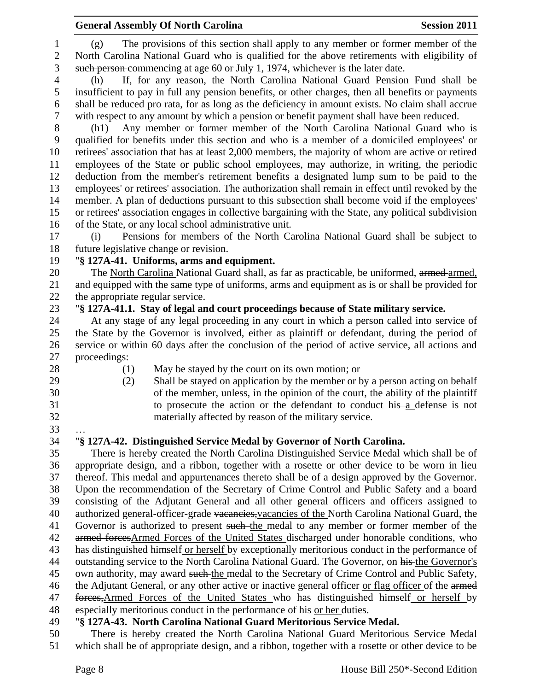(g) The provisions of this section shall apply to any member or former member of the North Carolina National Guard who is qualified for the above retirements with eligibility of such person commencing at age 60 or July 1, 1974, whichever is the later date.

 (h) If, for any reason, the North Carolina National Guard Pension Fund shall be insufficient to pay in full any pension benefits, or other charges, then all benefits or payments shall be reduced pro rata, for as long as the deficiency in amount exists. No claim shall accrue with respect to any amount by which a pension or benefit payment shall have been reduced.

 (h1) Any member or former member of the North Carolina National Guard who is qualified for benefits under this section and who is a member of a domiciled employees' or retirees' association that has at least 2,000 members, the majority of whom are active or retired employees of the State or public school employees, may authorize, in writing, the periodic deduction from the member's retirement benefits a designated lump sum to be paid to the employees' or retirees' association. The authorization shall remain in effect until revoked by the member. A plan of deductions pursuant to this subsection shall become void if the employees' or retirees' association engages in collective bargaining with the State, any political subdivision of the State, or any local school administrative unit.

 (i) Pensions for members of the North Carolina National Guard shall be subject to future legislative change or revision.

#### "**§ 127A-41. Uniforms, arms and equipment.**

20 The North Carolina National Guard shall, as far as practicable, be uniformed, armed armed, and equipped with the same type of uniforms, arms and equipment as is or shall be provided for the appropriate regular service.

#### "**§ 127A-41.1. Stay of legal and court proceedings because of State military service.**

 At any stage of any legal proceeding in any court in which a person called into service of the State by the Governor is involved, either as plaintiff or defendant, during the period of service or within 60 days after the conclusion of the period of active service, all actions and proceedings:

- 
- 
- 
- 28 (1) May be stayed by the court on its own motion; or
- (2) Shall be stayed on application by the member or by a person acting on behalf of the member, unless, in the opinion of the court, the ability of the plaintiff 31 to prosecute the action or the defendant to conduct his a defense is not materially affected by reason of the military service.
- …

# "**§ 127A-42. Distinguished Service Medal by Governor of North Carolina.**

 There is hereby created the North Carolina Distinguished Service Medal which shall be of appropriate design, and a ribbon, together with a rosette or other device to be worn in lieu thereof. This medal and appurtenances thereto shall be of a design approved by the Governor. Upon the recommendation of the Secretary of Crime Control and Public Safety and a board consisting of the Adjutant General and all other general officers and officers assigned to 40 authorized general-officer-grade vacancies, vacancies of the North Carolina National Guard, the 41 Governor is authorized to present such the medal to any member or former member of the 42 armed forcesArmed Forces of the United States discharged under honorable conditions, who has distinguished himself or herself by exceptionally meritorious conduct in the performance of 44 outstanding service to the North Carolina National Guard. The Governor, on his the Governor's 45 own authority, may award such the medal to the Secretary of Crime Control and Public Safety, 46 the Adjutant General, or any other active or inactive general officer or flag officer of the armed forces,Armed Forces of the United States who has distinguished himself or herself by especially meritorious conduct in the performance of his or her duties.

# "**§ 127A-43. North Carolina National Guard Meritorious Service Medal.**

 There is hereby created the North Carolina National Guard Meritorious Service Medal which shall be of appropriate design, and a ribbon, together with a rosette or other device to be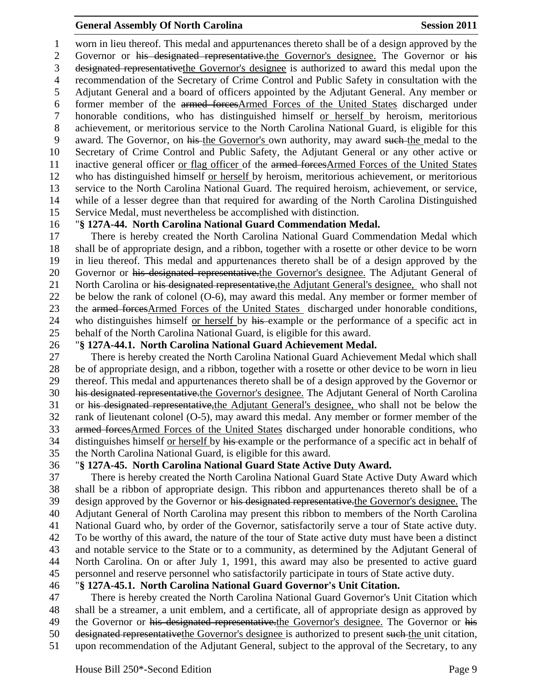worn in lieu thereof. This medal and appurtenances thereto shall be of a design approved by the

2 Governor or his designated representative.the Governor's designee. The Governor or his designated representativethe Governor's designee is authorized to award this medal upon the recommendation of the Secretary of Crime Control and Public Safety in consultation with the Adjutant General and a board of officers appointed by the Adjutant General. Any member or former member of the armed forcesArmed Forces of the United States discharged under honorable conditions, who has distinguished himself or herself by heroism, meritorious

 achievement, or meritorious service to the North Carolina National Guard, is eligible for this award. The Governor, on his the Governor's own authority, may award such the medal to the Secretary of Crime Control and Public Safety, the Adjutant General or any other active or 11 inactive general officer or flag officer of the armed forcesArmed Forces of the United States who has distinguished himself or herself by heroism, meritorious achievement, or meritorious service to the North Carolina National Guard. The required heroism, achievement, or service, while of a lesser degree than that required for awarding of the North Carolina Distinguished Service Medal, must nevertheless be accomplished with distinction.

### "**§ 127A-44. North Carolina National Guard Commendation Medal.**

 There is hereby created the North Carolina National Guard Commendation Medal which shall be of appropriate design, and a ribbon, together with a rosette or other device to be worn in lieu thereof. This medal and appurtenances thereto shall be of a design approved by the 20 Governor or his designated representative.the Governor's designee. The Adjutant General of 21 North Carolina or his designated representative, the Adjutant General's designee, who shall not be below the rank of colonel (O-6), may award this medal. Any member or former member of 23 the armed forcesArmed Forces of the United States discharged under honorable conditions, 24 who distinguishes himself or herself by his example or the performance of a specific act in behalf of the North Carolina National Guard, is eligible for this award.

#### "**§ 127A-44.1. North Carolina National Guard Achievement Medal.**

 There is hereby created the North Carolina National Guard Achievement Medal which shall be of appropriate design, and a ribbon, together with a rosette or other device to be worn in lieu thereof. This medal and appurtenances thereto shall be of a design approved by the Governor or his designated representative.the Governor's designee. The Adjutant General of North Carolina or his designated representative,the Adjutant General's designee, who shall not be below the rank of lieutenant colonel (O-5), may award this medal. Any member or former member of the armed forcesArmed Forces of the United States discharged under honorable conditions, who distinguishes himself or herself by his example or the performance of a specific act in behalf of the North Carolina National Guard, is eligible for this award.

### "**§ 127A-45. North Carolina National Guard State Active Duty Award.**

 There is hereby created the North Carolina National Guard State Active Duty Award which shall be a ribbon of appropriate design. This ribbon and appurtenances thereto shall be of a 39 design approved by the Governor or his designated representative. the Governor's designee. The Adjutant General of North Carolina may present this ribbon to members of the North Carolina National Guard who, by order of the Governor, satisfactorily serve a tour of State active duty. To be worthy of this award, the nature of the tour of State active duty must have been a distinct and notable service to the State or to a community, as determined by the Adjutant General of North Carolina. On or after July 1, 1991, this award may also be presented to active guard personnel and reserve personnel who satisfactorily participate in tours of State active duty.

### "**§ 127A-45.1. North Carolina National Guard Governor's Unit Citation.**

 There is hereby created the North Carolina National Guard Governor's Unit Citation which shall be a streamer, a unit emblem, and a certificate, all of appropriate design as approved by 49 the Governor or his designated representative. the Governor's designee. The Governor or his 50 designated representative the Governor's designee is authorized to present such the unit citation, upon recommendation of the Adjutant General, subject to the approval of the Secretary, to any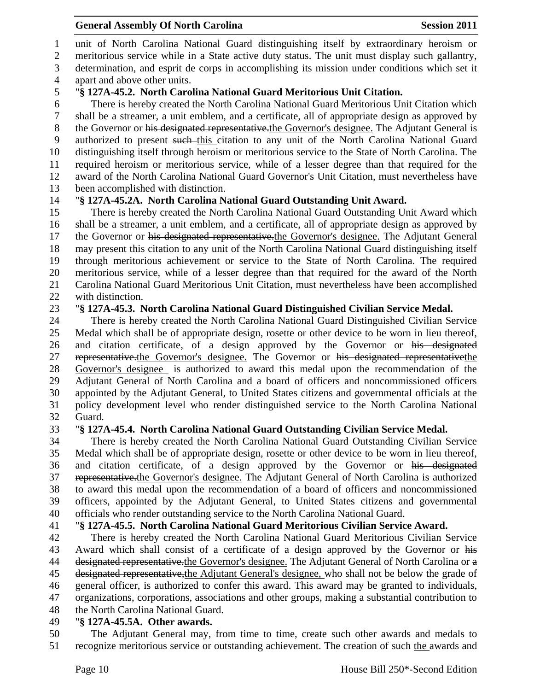unit of North Carolina National Guard distinguishing itself by extraordinary heroism or

 meritorious service while in a State active duty status. The unit must display such gallantry, determination, and esprit de corps in accomplishing its mission under conditions which set it

apart and above other units.

# "**§ 127A-45.2. North Carolina National Guard Meritorious Unit Citation.**

 There is hereby created the North Carolina National Guard Meritorious Unit Citation which shall be a streamer, a unit emblem, and a certificate, all of appropriate design as approved by 8 the Governor or his designated representative.the Governor's designee. The Adjutant General is authorized to present such this citation to any unit of the North Carolina National Guard distinguishing itself through heroism or meritorious service to the State of North Carolina. The required heroism or meritorious service, while of a lesser degree than that required for the award of the North Carolina National Guard Governor's Unit Citation, must nevertheless have been accomplished with distinction.

# "**§ 127A-45.2A. North Carolina National Guard Outstanding Unit Award.**

 There is hereby created the North Carolina National Guard Outstanding Unit Award which shall be a streamer, a unit emblem, and a certificate, all of appropriate design as approved by 17 the Governor or his designated representative. the Governor's designee. The Adjutant General may present this citation to any unit of the North Carolina National Guard distinguishing itself through meritorious achievement or service to the State of North Carolina. The required meritorious service, while of a lesser degree than that required for the award of the North Carolina National Guard Meritorious Unit Citation, must nevertheless have been accomplished with distinction.

# "**§ 127A-45.3. North Carolina National Guard Distinguished Civilian Service Medal.**

 There is hereby created the North Carolina National Guard Distinguished Civilian Service Medal which shall be of appropriate design, rosette or other device to be worn in lieu thereof, and citation certificate, of a design approved by the Governor or his designated 27 representative.the Governor's designee. The Governor or his designated representative the Governor's designee is authorized to award this medal upon the recommendation of the Adjutant General of North Carolina and a board of officers and noncommissioned officers appointed by the Adjutant General, to United States citizens and governmental officials at the policy development level who render distinguished service to the North Carolina National Guard.

# "**§ 127A-45.4. North Carolina National Guard Outstanding Civilian Service Medal.**

 There is hereby created the North Carolina National Guard Outstanding Civilian Service Medal which shall be of appropriate design, rosette or other device to be worn in lieu thereof, and citation certificate, of a design approved by the Governor or his designated representative.the Governor's designee. The Adjutant General of North Carolina is authorized to award this medal upon the recommendation of a board of officers and noncommissioned officers, appointed by the Adjutant General, to United States citizens and governmental officials who render outstanding service to the North Carolina National Guard.

# "**§ 127A-45.5. North Carolina National Guard Meritorious Civilian Service Award.**

 There is hereby created the North Carolina National Guard Meritorious Civilian Service Award which shall consist of a certificate of a design approved by the Governor or his 44 designated representative.the Governor's designee. The Adjutant General of North Carolina or a 45 designated representative, the Adjutant General's designee, who shall not be below the grade of general officer, is authorized to confer this award. This award may be granted to individuals, organizations, corporations, associations and other groups, making a substantial contribution to the North Carolina National Guard.

# "**§ 127A-45.5A. Other awards.**

50 The Adjutant General may, from time to time, create such other awards and medals to 51 recognize meritorious service or outstanding achievement. The creation of such the awards and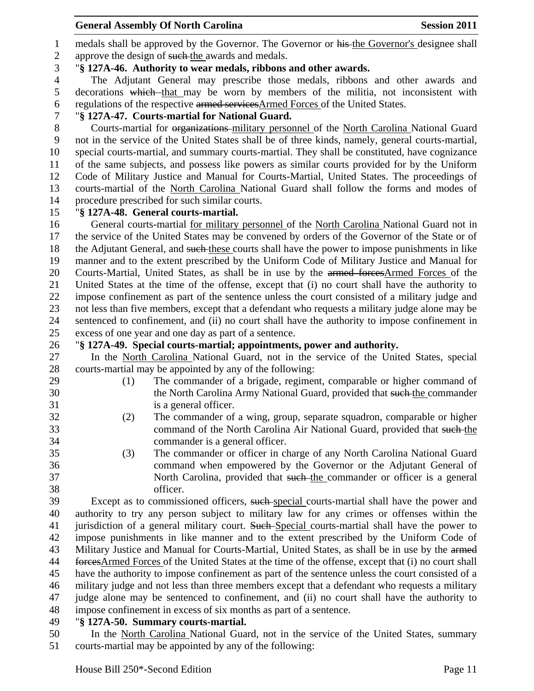1 medals shall be approved by the Governor. The Governor or his the Governor's designee shall 2 approve the design of such-the awards and medals.

# "**§ 127A-46. Authority to wear medals, ribbons and other awards.**

 The Adjutant General may prescribe those medals, ribbons and other awards and decorations which that may be worn by members of the militia, not inconsistent with regulations of the respective armed servicesArmed Forces of the United States.

# "**§ 127A-47. Courts-martial for National Guard.**

 Courts-martial for organizations military personnel of the North Carolina National Guard not in the service of the United States shall be of three kinds, namely, general courts-martial, special courts-martial, and summary courts-martial. They shall be constituted, have cognizance of the same subjects, and possess like powers as similar courts provided for by the Uniform Code of Military Justice and Manual for Courts-Martial, United States. The proceedings of courts-martial of the North Carolina National Guard shall follow the forms and modes of procedure prescribed for such similar courts.

# "**§ 127A-48. General courts-martial.**

 General courts-martial for military personnel of the North Carolina National Guard not in the service of the United States may be convened by orders of the Governor of the State or of the Adjutant General, and such these courts shall have the power to impose punishments in like manner and to the extent prescribed by the Uniform Code of Military Justice and Manual for 20 Courts-Martial, United States, as shall be in use by the armed forcesArmed Forces of the United States at the time of the offense, except that (i) no court shall have the authority to impose confinement as part of the sentence unless the court consisted of a military judge and not less than five members, except that a defendant who requests a military judge alone may be sentenced to confinement, and (ii) no court shall have the authority to impose confinement in excess of one year and one day as part of a sentence.

# "**§ 127A-49. Special courts-martial; appointments, power and authority.**

 In the North Carolina National Guard, not in the service of the United States, special courts-martial may be appointed by any of the following:

- (1) The commander of a brigade, regiment, comparable or higher command of 30 the North Carolina Army National Guard, provided that such the commander is a general officer.
- (2) The commander of a wing, group, separate squadron, comparable or higher command of the North Carolina Air National Guard, provided that such the commander is a general officer.
- (3) The commander or officer in charge of any North Carolina National Guard command when empowered by the Governor or the Adjutant General of 37 North Carolina, provided that such the commander or officer is a general officer.

39 Except as to commissioned officers, such special courts-martial shall have the power and authority to try any person subject to military law for any crimes or offenses within the 41 jurisdiction of a general military court. Such Special courts-martial shall have the power to impose punishments in like manner and to the extent prescribed by the Uniform Code of 43 Military Justice and Manual for Courts-Martial, United States, as shall be in use by the armed forcesArmed Forces of the United States at the time of the offense, except that (i) no court shall have the authority to impose confinement as part of the sentence unless the court consisted of a military judge and not less than three members except that a defendant who requests a military judge alone may be sentenced to confinement, and (ii) no court shall have the authority to impose confinement in excess of six months as part of a sentence.

# "**§ 127A-50. Summary courts-martial.**

 In the North Carolina National Guard, not in the service of the United States, summary courts-martial may be appointed by any of the following: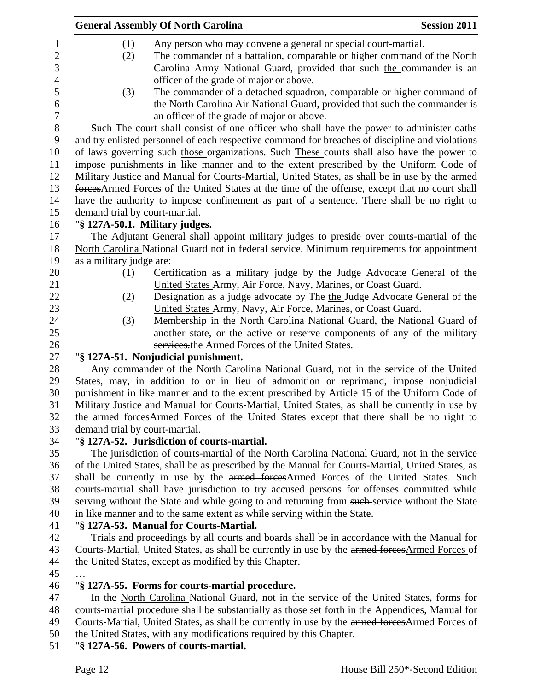|                                | <b>General Assembly Of North Carolina</b>                                                        | <b>Session 2011</b> |
|--------------------------------|--------------------------------------------------------------------------------------------------|---------------------|
| (1)                            | Any person who may convene a general or special court-martial.                                   |                     |
| (2)                            | The commander of a battalion, comparable or higher command of the North                          |                     |
|                                | Carolina Army National Guard, provided that such the commander is an                             |                     |
|                                | officer of the grade of major or above.                                                          |                     |
| (3)                            | The commander of a detached squadron, comparable or higher command of                            |                     |
|                                | the North Carolina Air National Guard, provided that such the commander is                       |                     |
|                                | an officer of the grade of major or above.                                                       |                     |
|                                | Such-The court shall consist of one officer who shall have the power to administer oaths         |                     |
|                                | and try enlisted personnel of each respective command for breaches of discipline and violations  |                     |
|                                | of laws governing such those organizations. Such These courts shall also have the power to       |                     |
|                                | impose punishments in like manner and to the extent prescribed by the Uniform Code of            |                     |
|                                | Military Justice and Manual for Courts-Martial, United States, as shall be in use by the armed   |                     |
|                                | forces Armed Forces of the United States at the time of the offense, except that no court shall  |                     |
|                                | have the authority to impose confinement as part of a sentence. There shall be no right to       |                     |
| demand trial by court-martial. |                                                                                                  |                     |
|                                | "§ 127A-50.1. Military judges.                                                                   |                     |
|                                | The Adjutant General shall appoint military judges to preside over courts-martial of the         |                     |
|                                | North Carolina National Guard not in federal service. Minimum requirements for appointment       |                     |
| as a military judge are:       |                                                                                                  |                     |
| (1)                            | Certification as a military judge by the Judge Advocate General of the                           |                     |
|                                | United States Army, Air Force, Navy, Marines, or Coast Guard.                                    |                     |
| (2)                            | Designation as a judge advocate by The-the Judge Advocate General of the                         |                     |
|                                | United States Army, Navy, Air Force, Marines, or Coast Guard.                                    |                     |
| (3)                            | Membership in the North Carolina National Guard, the National Guard of                           |                     |
|                                | another state, or the active or reserve components of any of the military                        |                     |
|                                | services.the Armed Forces of the United States.                                                  |                     |
|                                | "§ 127A-51. Nonjudicial punishment.                                                              |                     |
|                                | Any commander of the North Carolina National Guard, not in the service of the United             |                     |
|                                | States, may, in addition to or in lieu of admonition or reprimand, impose nonjudicial            |                     |
|                                | punishment in like manner and to the extent prescribed by Article 15 of the Uniform Code of      |                     |
|                                | Military Justice and Manual for Courts-Martial, United States, as shall be currently in use by   |                     |
|                                | the armed forces Armed Forces of the United States except that there shall be no right to        |                     |
| demand trial by court-martial. |                                                                                                  |                     |
|                                | "§ 127A-52. Jurisdiction of courts-martial.                                                      |                     |
|                                | The jurisdiction of courts-martial of the North Carolina National Guard, not in the service      |                     |
|                                | of the United States, shall be as prescribed by the Manual for Courts-Martial, United States, as |                     |
|                                | shall be currently in use by the armed forces Armed Forces of the United States. Such            |                     |
|                                | courts-martial shall have jurisdiction to try accused persons for offenses committed while       |                     |
|                                | serving without the State and while going to and returning from such service without the State   |                     |
|                                | in like manner and to the same extent as while serving within the State.                         |                     |
|                                | "§ 127A-53. Manual for Courts-Martial.                                                           |                     |
|                                | Trials and proceedings by all courts and boards shall be in accordance with the Manual for       |                     |
|                                | Courts-Martial, United States, as shall be currently in use by the armed forces Armed Forces of  |                     |
|                                | the United States, except as modified by this Chapter.                                           |                     |
|                                |                                                                                                  |                     |
|                                | "§ 127A-55. Forms for courts-martial procedure.                                                  |                     |
|                                | In the North Carolina National Guard, not in the service of the United States, forms for         |                     |

- courts-martial procedure shall be substantially as those set forth in the Appendices, Manual for 49 Courts-Martial, United States, as shall be currently in use by the armed forcesArmed Forces of
- the United States, with any modifications required by this Chapter.

# "**§ 127A-56. Powers of courts-martial.**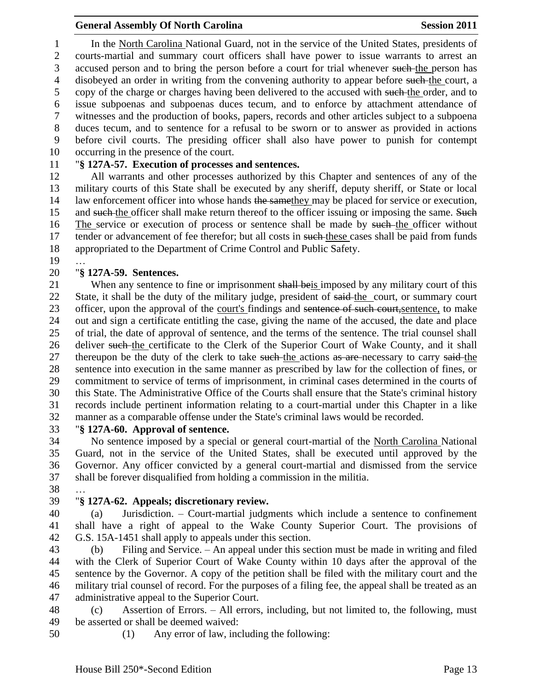In the North Carolina National Guard, not in the service of the United States, presidents of courts-martial and summary court officers shall have power to issue warrants to arrest an 3 accused person and to bring the person before a court for trial whenever such the person has 4 disobeyed an order in writing from the convening authority to appear before such the court, a copy of the charge or charges having been delivered to the accused with such the order, and to issue subpoenas and subpoenas duces tecum, and to enforce by attachment attendance of witnesses and the production of books, papers, records and other articles subject to a subpoena duces tecum, and to sentence for a refusal to be sworn or to answer as provided in actions before civil courts. The presiding officer shall also have power to punish for contempt occurring in the presence of the court.

## "**§ 127A-57. Execution of processes and sentences.**

 All warrants and other processes authorized by this Chapter and sentences of any of the military courts of this State shall be executed by any sheriff, deputy sheriff, or State or local 14 law enforcement officer into whose hands the same they may be placed for service or execution, 15 and such the officer shall make return thereof to the officer issuing or imposing the same. Such 16 The service or execution of process or sentence shall be made by such the officer without 17 tender or advancement of fee therefor; but all costs in such-these cases shall be paid from funds appropriated to the Department of Crime Control and Public Safety.

…

# "**§ 127A-59. Sentences.**

21 When any sentence to fine or imprisonment shall beis imposed by any military court of this 22 State, it shall be the duty of the military judge, president of said-the court, or summary court 23 officer, upon the approval of the court's findings and sentence of such court, sentence, to make out and sign a certificate entitling the case, giving the name of the accused, the date and place of trial, the date of approval of sentence, and the terms of the sentence. The trial counsel shall 26 deliver such the certificate to the Clerk of the Superior Court of Wake County, and it shall 27 thereupon be the duty of the clerk to take such the actions as are necessary to carry said the sentence into execution in the same manner as prescribed by law for the collection of fines, or commitment to service of terms of imprisonment, in criminal cases determined in the courts of this State. The Administrative Office of the Courts shall ensure that the State's criminal history records include pertinent information relating to a court-martial under this Chapter in a like manner as a comparable offense under the State's criminal laws would be recorded.

"**§ 127A-60. Approval of sentence.**

 No sentence imposed by a special or general court-martial of the North Carolina National Guard, not in the service of the United States, shall be executed until approved by the Governor. Any officer convicted by a general court-martial and dismissed from the service shall be forever disqualified from holding a commission in the militia.

…

# "**§ 127A-62. Appeals; discretionary review.**

 (a) Jurisdiction. – Court-martial judgments which include a sentence to confinement shall have a right of appeal to the Wake County Superior Court. The provisions of G.S. 15A-1451 shall apply to appeals under this section.

 (b) Filing and Service. – An appeal under this section must be made in writing and filed with the Clerk of Superior Court of Wake County within 10 days after the approval of the sentence by the Governor. A copy of the petition shall be filed with the military court and the military trial counsel of record. For the purposes of a filing fee, the appeal shall be treated as an administrative appeal to the Superior Court.

 (c) Assertion of Errors. – All errors, including, but not limited to, the following, must be asserted or shall be deemed waived:

- 
- (1) Any error of law, including the following: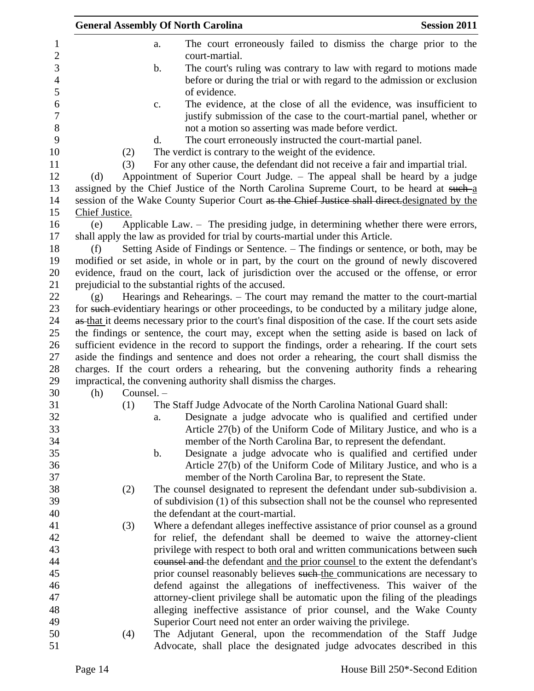|                |            | <b>General Assembly Of North Carolina</b>                                                                                                                     | <b>Session 2011</b> |
|----------------|------------|---------------------------------------------------------------------------------------------------------------------------------------------------------------|---------------------|
|                |            | The court erroneously failed to dismiss the charge prior to the<br>a.                                                                                         |                     |
|                |            | court-martial.<br>The court's ruling was contrary to law with regard to motions made<br>$\mathbf b$ .                                                         |                     |
|                |            | before or during the trial or with regard to the admission or exclusion                                                                                       |                     |
|                |            | of evidence.                                                                                                                                                  |                     |
|                |            | The evidence, at the close of all the evidence, was insufficient to<br>$\mathbf{c}.$<br>justify submission of the case to the court-martial panel, whether or |                     |
|                |            | not a motion so asserting was made before verdict.                                                                                                            |                     |
|                |            | The court erroneously instructed the court-martial panel.<br>d.                                                                                               |                     |
|                | (2)<br>(3) | The verdict is contrary to the weight of the evidence.<br>For any other cause, the defendant did not receive a fair and impartial trial.                      |                     |
| (d)            |            | Appointment of Superior Court Judge. – The appeal shall be heard by a judge                                                                                   |                     |
|                |            | assigned by the Chief Justice of the North Carolina Supreme Court, to be heard at such a                                                                      |                     |
|                |            | session of the Wake County Superior Court as the Chief Justice shall direct.designated by the                                                                 |                     |
| Chief Justice. |            |                                                                                                                                                               |                     |
| (e)            |            | Applicable Law. - The presiding judge, in determining whether there were errors,                                                                              |                     |
|                |            | shall apply the law as provided for trial by courts-martial under this Article.                                                                               |                     |
| (f)            |            | Setting Aside of Findings or Sentence. - The findings or sentence, or both, may be                                                                            |                     |
|                |            | modified or set aside, in whole or in part, by the court on the ground of newly discovered                                                                    |                     |
|                |            | evidence, fraud on the court, lack of jurisdiction over the accused or the offense, or error                                                                  |                     |
|                |            | prejudicial to the substantial rights of the accused.                                                                                                         |                     |
| (g)            |            | Hearings and Rehearings. – The court may remand the matter to the court-martial                                                                               |                     |
|                |            | for such-evidentiary hearings or other proceedings, to be conducted by a military judge alone,                                                                |                     |
|                |            | as that it deems necessary prior to the court's final disposition of the case. If the court sets aside                                                        |                     |
|                |            | the findings or sentence, the court may, except when the setting aside is based on lack of                                                                    |                     |
|                |            | sufficient evidence in the record to support the findings, order a rehearing. If the court sets                                                               |                     |
|                |            | aside the findings and sentence and does not order a rehearing, the court shall dismiss the                                                                   |                     |
|                |            | charges. If the court orders a rehearing, but the convening authority finds a rehearing                                                                       |                     |
|                |            | impractical, the convening authority shall dismiss the charges.                                                                                               |                     |
| (h)            | Counsel. - |                                                                                                                                                               |                     |
|                | (1)        | The Staff Judge Advocate of the North Carolina National Guard shall:                                                                                          |                     |
|                |            | Designate a judge advocate who is qualified and certified under<br>a.                                                                                         |                     |
|                |            | Article 27(b) of the Uniform Code of Military Justice, and who is a                                                                                           |                     |
|                |            | member of the North Carolina Bar, to represent the defendant.                                                                                                 |                     |
|                |            | Designate a judge advocate who is qualified and certified under<br>$\mathbf b$ .                                                                              |                     |
|                |            | Article 27(b) of the Uniform Code of Military Justice, and who is a<br>member of the North Carolina Bar, to represent the State.                              |                     |
|                |            |                                                                                                                                                               |                     |
|                | (2)        | The counsel designated to represent the defendant under sub-subdivision a.<br>of subdivision (1) of this subsection shall not be the counsel who represented  |                     |
|                |            | the defendant at the court-martial.                                                                                                                           |                     |
|                | (3)        | Where a defendant alleges ineffective assistance of prior counsel as a ground                                                                                 |                     |
|                |            | for relief, the defendant shall be deemed to waive the attorney-client                                                                                        |                     |
|                |            | privilege with respect to both oral and written communications between such                                                                                   |                     |
|                |            | counsel and the defendant and the prior counsel to the extent the defendant's                                                                                 |                     |
|                |            | prior counsel reasonably believes such the communications are necessary to                                                                                    |                     |
|                |            | defend against the allegations of ineffectiveness. This waiver of the                                                                                         |                     |
|                |            | attorney-client privilege shall be automatic upon the filing of the pleadings                                                                                 |                     |
|                |            | alleging ineffective assistance of prior counsel, and the Wake County                                                                                         |                     |
|                |            | Superior Court need not enter an order waiving the privilege.                                                                                                 |                     |
|                | (4)        | The Adjutant General, upon the recommendation of the Staff Judge                                                                                              |                     |
|                |            | Advocate, shall place the designated judge advocates described in this                                                                                        |                     |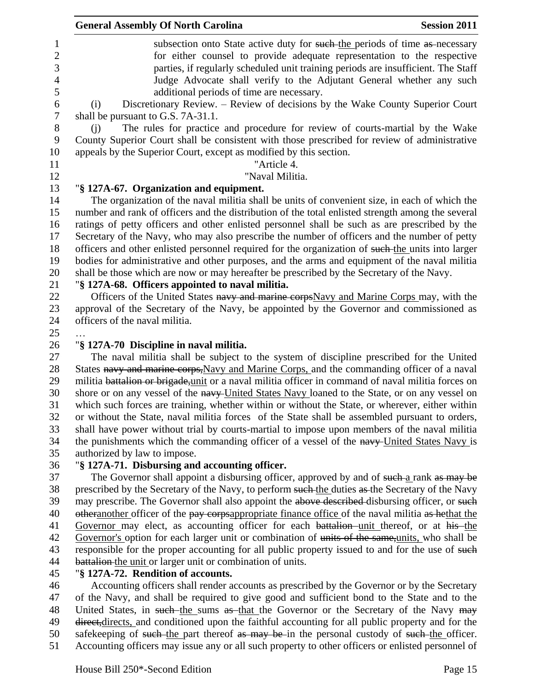|                | <b>General Assembly Of North Carolina</b><br><b>Session 2011</b>                                                                                                                                  |
|----------------|---------------------------------------------------------------------------------------------------------------------------------------------------------------------------------------------------|
| 1              | subsection onto State active duty for such the periods of time as necessary                                                                                                                       |
| $\sqrt{2}$     | for either counsel to provide adequate representation to the respective                                                                                                                           |
| 3              | parties, if regularly scheduled unit training periods are insufficient. The Staff                                                                                                                 |
| $\overline{4}$ | Judge Advocate shall verify to the Adjutant General whether any such                                                                                                                              |
| 5              | additional periods of time are necessary.                                                                                                                                                         |
| 6              | Discretionary Review. - Review of decisions by the Wake County Superior Court<br>(i)                                                                                                              |
| 7              | shall be pursuant to G.S. 7A-31.1.                                                                                                                                                                |
| 8              | The rules for practice and procedure for review of courts-martial by the Wake<br>(i)                                                                                                              |
| 9              | County Superior Court shall be consistent with those prescribed for review of administrative                                                                                                      |
| 10             | appeals by the Superior Court, except as modified by this section.                                                                                                                                |
| 11             | "Article 4.                                                                                                                                                                                       |
| 12             | "Naval Militia.                                                                                                                                                                                   |
| 13             | "§ 127A-67. Organization and equipment.                                                                                                                                                           |
| 14             | The organization of the naval militia shall be units of convenient size, in each of which the                                                                                                     |
| 15             | number and rank of officers and the distribution of the total enlisted strength among the several                                                                                                 |
| 16             | ratings of petty officers and other enlisted personnel shall be such as are prescribed by the                                                                                                     |
| 17             | Secretary of the Navy, who may also prescribe the number of officers and the number of petty                                                                                                      |
| 18             | officers and other enlisted personnel required for the organization of such the units into larger                                                                                                 |
| 19             | bodies for administrative and other purposes, and the arms and equipment of the naval militia                                                                                                     |
| 20             | shall be those which are now or may hereafter be prescribed by the Secretary of the Navy.                                                                                                         |
| 21             | "§ 127A-68. Officers appointed to naval militia.                                                                                                                                                  |
| 22             | Officers of the United States navy and marine corps Navy and Marine Corps may, with the                                                                                                           |
| 23             | approval of the Secretary of the Navy, be appointed by the Governor and commissioned as                                                                                                           |
| 24             | officers of the naval militia.                                                                                                                                                                    |
| 25             |                                                                                                                                                                                                   |
| 26             | "§ 127A-70 Discipline in naval militia.                                                                                                                                                           |
| 27             | The naval militia shall be subject to the system of discipline prescribed for the United                                                                                                          |
| 28             | States navy and marine corps, Navy and Marine Corps, and the commanding officer of a naval                                                                                                        |
| 29             | militia battalion or brigade, unit or a naval militia officer in command of naval militia forces on                                                                                               |
| 30<br>31       | shore or on any vessel of the navy-United States Navy loaned to the State, or on any vessel on<br>which such forces are training, whether within or without the State, or wherever, either within |
| 32             | or without the State, naval militia forces of the State shall be assembled pursuant to orders,                                                                                                    |
| 33             | shall have power without trial by courts-martial to impose upon members of the naval militia                                                                                                      |
| 34             | the punishments which the commanding officer of a vessel of the navy-United States Navy is                                                                                                        |
| 35             | authorized by law to impose.                                                                                                                                                                      |
| 36             | "§ 127A-71. Disbursing and accounting officer.                                                                                                                                                    |
| 37             | The Governor shall appoint a disbursing officer, approved by and of such-a rank as may be                                                                                                         |
| 38             | prescribed by the Secretary of the Navy, to perform such the duties as the Secretary of the Navy                                                                                                  |
| 39             | may prescribe. The Governor shall also appoint the above described disbursing officer, or such                                                                                                    |
| 40             | otheranother officer of the pay corpsappropriate finance office of the naval militia as hethat the                                                                                                |
| 41             | Governor may elect, as accounting officer for each battalion unit thereof, or at his the                                                                                                          |
| 42             | Governor's option for each larger unit or combination of units of the same, units, who shall be                                                                                                   |
| 43             | responsible for the proper accounting for all public property issued to and for the use of such                                                                                                   |
| 44             | battalion the unit or larger unit or combination of units.                                                                                                                                        |
| 45             | "§ 127A-72. Rendition of accounts.                                                                                                                                                                |
| 46             | Accounting officers shall render accounts as prescribed by the Governor or by the Secretary                                                                                                       |
| 47             | of the Navy, and shall be required to give good and sufficient bond to the State and to the                                                                                                       |
| 48             | United States, in such the sums as that the Governor or the Secretary of the Navy may                                                                                                             |
| 49             | direct, directs, and conditioned upon the faithful accounting for all public property and for the                                                                                                 |
| 50.            | eafgroeping of such the part thereof as may be in the personal suctody of such the officer                                                                                                        |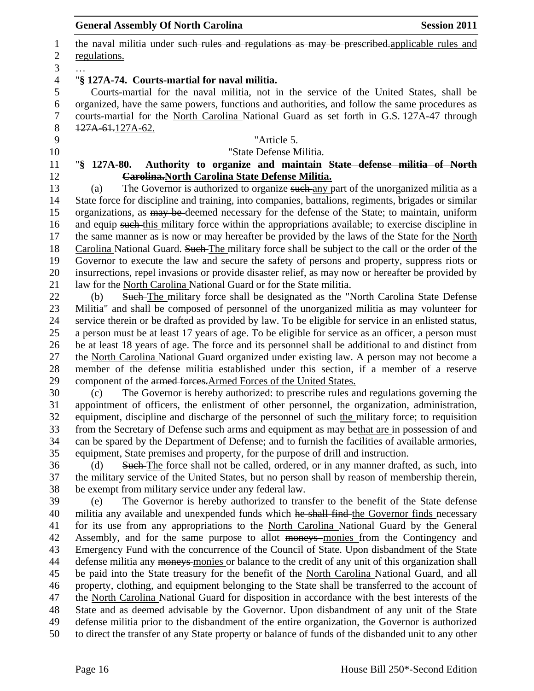1 the naval militia under such rules and regulations as may be prescribed. applicable rules and regulations. … "**§ 127A-74. Courts-martial for naval militia.** Courts-martial for the naval militia, not in the service of the United States, shall be organized, have the same powers, functions and authorities, and follow the same procedures as courts-martial for the North Carolina National Guard as set forth in G.S. 127A-47 through 127A-61.127A-62. "Article 5. "State Defense Militia. "**§ 127A-80. Authority to organize and maintain State defense militia of North Carolina.North Carolina State Defense Militia.** (a) The Governor is authorized to organize such any part of the unorganized militia as a State force for discipline and training, into companies, battalions, regiments, brigades or similar 15 organizations, as may be deemed necessary for the defense of the State; to maintain, uniform 16 and equip such this military force within the appropriations available; to exercise discipline in the same manner as is now or may hereafter be provided by the laws of the State for the North 18 Carolina National Guard. Such The military force shall be subject to the call or the order of the Governor to execute the law and secure the safety of persons and property, suppress riots or insurrections, repel invasions or provide disaster relief, as may now or hereafter be provided by law for the North Carolina National Guard or for the State militia. 22 (b) Such The military force shall be designated as the "North Carolina State Defense Militia" and shall be composed of personnel of the unorganized militia as may volunteer for service therein or be drafted as provided by law. To be eligible for service in an enlisted status, a person must be at least 17 years of age. To be eligible for service as an officer, a person must be at least 18 years of age. The force and its personnel shall be additional to and distinct from the North Carolina National Guard organized under existing law. A person may not become a member of the defense militia established under this section, if a member of a reserve component of the armed forces.Armed Forces of the United States. (c) The Governor is hereby authorized: to prescribe rules and regulations governing the appointment of officers, the enlistment of other personnel, the organization, administration, 32 equipment, discipline and discharge of the personnel of such the military force; to requisition 33 from the Secretary of Defense such arms and equipment as may bethat are in possession of and can be spared by the Department of Defense; and to furnish the facilities of available armories, equipment, State premises and property, for the purpose of drill and instruction. (d) Such The force shall not be called, ordered, or in any manner drafted, as such, into the military service of the United States, but no person shall by reason of membership therein, be exempt from military service under any federal law. (e) The Governor is hereby authorized to transfer to the benefit of the State defense 40 militia any available and unexpended funds which he shall find the Governor finds necessary for its use from any appropriations to the North Carolina National Guard by the General Assembly, and for the same purpose to allot moneys monies from the Contingency and Emergency Fund with the concurrence of the Council of State. Upon disbandment of the State 44 defense militia any moneys monies or balance to the credit of any unit of this organization shall be paid into the State treasury for the benefit of the North Carolina National Guard, and all property, clothing, and equipment belonging to the State shall be transferred to the account of the North Carolina National Guard for disposition in accordance with the best interests of the State and as deemed advisable by the Governor. Upon disbandment of any unit of the State

defense militia prior to the disbandment of the entire organization, the Governor is authorized

to direct the transfer of any State property or balance of funds of the disbanded unit to any other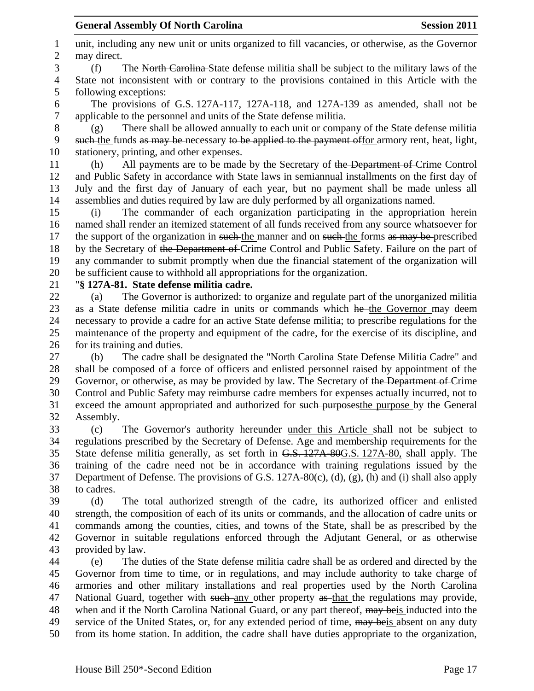unit, including any new unit or units organized to fill vacancies, or otherwise, as the Governor may direct. (f) The North Carolina State defense militia shall be subject to the military laws of the State not inconsistent with or contrary to the provisions contained in this Article with the following exceptions: The provisions of G.S. 127A-117, 127A-118, and 127A-139 as amended, shall not be applicable to the personnel and units of the State defense militia. (g) There shall be allowed annually to each unit or company of the State defense militia such the funds as may be necessary to be applied to the payment offor armory rent, heat, light, stationery, printing, and other expenses. (h) All payments are to be made by the Secretary of the Department of Crime Control and Public Safety in accordance with State laws in semiannual installments on the first day of July and the first day of January of each year, but no payment shall be made unless all

 assemblies and duties required by law are duly performed by all organizations named. (i) The commander of each organization participating in the appropriation herein named shall render an itemized statement of all funds received from any source whatsoever for 17 the support of the organization in such the manner and on such the forms as may be prescribed 18 by the Secretary of the Department of Crime Control and Public Safety. Failure on the part of any commander to submit promptly when due the financial statement of the organization will be sufficient cause to withhold all appropriations for the organization.

"**§ 127A-81. State defense militia cadre.**

 (a) The Governor is authorized: to organize and regulate part of the unorganized militia 23 as a State defense militia cadre in units or commands which he the Governor may deem necessary to provide a cadre for an active State defense militia; to prescribe regulations for the maintenance of the property and equipment of the cadre, for the exercise of its discipline, and for its training and duties.

 (b) The cadre shall be designated the "North Carolina State Defense Militia Cadre" and shall be composed of a force of officers and enlisted personnel raised by appointment of the 29 Governor, or otherwise, as may be provided by law. The Secretary of the Department of Crime Control and Public Safety may reimburse cadre members for expenses actually incurred, not to exceed the amount appropriated and authorized for such purposesthe purpose by the General Assembly.

 (c) The Governor's authority hereunder under this Article shall not be subject to regulations prescribed by the Secretary of Defense. Age and membership requirements for the State defense militia generally, as set forth in G.S. 127A-80G.S. 127A-80, shall apply. The training of the cadre need not be in accordance with training regulations issued by the Department of Defense. The provisions of G.S. 127A-80(c), (d), (g), (h) and (i) shall also apply to cadres.

 (d) The total authorized strength of the cadre, its authorized officer and enlisted strength, the composition of each of its units or commands, and the allocation of cadre units or commands among the counties, cities, and towns of the State, shall be as prescribed by the Governor in suitable regulations enforced through the Adjutant General, or as otherwise provided by law.

 (e) The duties of the State defense militia cadre shall be as ordered and directed by the Governor from time to time, or in regulations, and may include authority to take charge of armories and other military installations and real properties used by the North Carolina 47 National Guard, together with such any other property as that the regulations may provide, 48 when and if the North Carolina National Guard, or any part thereof,  $\frac{m}{m}$  beis inducted into the 49 service of the United States, or, for any extended period of time,  $\frac{m}{m}$  beis absent on any duty from its home station. In addition, the cadre shall have duties appropriate to the organization,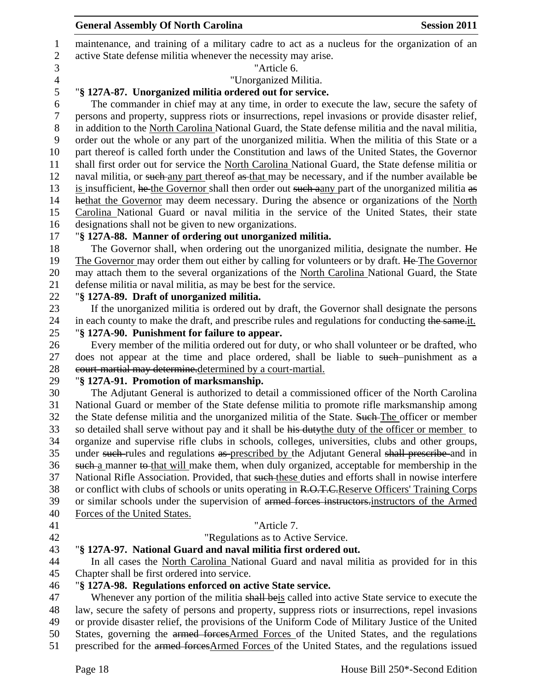| $\mathbf{1}$<br>$\mathbf{2}$ | maintenance, and training of a military cadre to act as a nucleus for the organization of an<br>active State defense militia whenever the necessity may arise. |
|------------------------------|----------------------------------------------------------------------------------------------------------------------------------------------------------------|
| 3                            | "Article 6.                                                                                                                                                    |
| $\overline{4}$               | "Unorganized Militia.                                                                                                                                          |
| 5                            | "§ 127A-87. Unorganized militia ordered out for service.                                                                                                       |
| 6                            | The commander in chief may at any time, in order to execute the law, secure the safety of                                                                      |
| $\tau$                       | persons and property, suppress riots or insurrections, repel invasions or provide disaster relief,                                                             |
| $8\phantom{1}$               | in addition to the North Carolina National Guard, the State defense militia and the naval militia,                                                             |
| 9                            | order out the whole or any part of the unorganized militia. When the militia of this State or a                                                                |
| 10                           | part thereof is called forth under the Constitution and laws of the United States, the Governor                                                                |
| 11                           | shall first order out for service the North Carolina National Guard, the State defense militia or                                                              |
| 12                           | naval militia, or such any part thereof as that may be necessary, and if the number available be                                                               |
| 13                           | is insufficient, he the Governor shall then order out such a any part of the unorganized militia as                                                            |
| 14                           | hethat the Governor may deem necessary. During the absence or organizations of the North                                                                       |
| 15                           | Carolina National Guard or naval militia in the service of the United States, their state                                                                      |
| 16                           | designations shall not be given to new organizations.                                                                                                          |
| 17                           | "§ 127A-88. Manner of ordering out unorganized militia.                                                                                                        |
| 18                           | The Governor shall, when ordering out the unorganized militia, designate the number. He                                                                        |
| 19                           | The Governor may order them out either by calling for volunteers or by draft. He The Governor                                                                  |
| 20                           | may attach them to the several organizations of the North Carolina National Guard, the State                                                                   |
| 21                           | defense militia or naval militia, as may be best for the service.                                                                                              |
| 22                           | "§ 127A-89. Draft of unorganized militia.                                                                                                                      |
| 23                           | If the unorganized militia is ordered out by draft, the Governor shall designate the persons                                                                   |
| 24                           | in each county to make the draft, and prescribe rules and regulations for conducting the same-it.                                                              |
| 25                           | "§ 127A-90. Punishment for failure to appear.<br>Every member of the militia ordered out for duty, or who shall volunteer or be drafted, who                   |
| 26<br>27                     | does not appear at the time and place ordered, shall be liable to such-punishment as a                                                                         |
| 28                           | court martial may determine determined by a court-martial.                                                                                                     |
| 29                           | "§ 127A-91. Promotion of marksmanship.                                                                                                                         |
| 30                           | The Adjutant General is authorized to detail a commissioned officer of the North Carolina                                                                      |
| 31                           | National Guard or member of the State defense militia to promote rifle marksmanship among                                                                      |
| 32                           | the State defense militia and the unorganized militia of the State. Such The officer or member                                                                 |
| 33                           | so detailed shall serve without pay and it shall be his duty the duty of the officer or member to                                                              |
| 34                           | organize and supervise rifle clubs in schools, colleges, universities, clubs and other groups,                                                                 |
| 35                           | under such-rules and regulations as prescribed by the Adjutant General shall prescribe and in                                                                  |
| 36                           | such a manner to that will make them, when duly organized, acceptable for membership in the                                                                    |
| 37                           | National Rifle Association. Provided, that such these duties and efforts shall in nowise interfere                                                             |
| 38                           | or conflict with clubs of schools or units operating in R.O.T.C.Reserve Officers' Training Corps                                                               |
| 39                           | or similar schools under the supervision of armed forces instructors-instructors of the Armed                                                                  |
| 40                           | Forces of the United States.                                                                                                                                   |
| 41                           | "Article 7.                                                                                                                                                    |
| 42                           | "Regulations as to Active Service.                                                                                                                             |
| 43<br>44                     | "§ 127A-97. National Guard and naval militia first ordered out.<br>In all cases the North Carolina National Guard and naval militia as provided for in this    |
| 45                           | Chapter shall be first ordered into service.                                                                                                                   |
| 46                           | "§ 127A-98. Regulations enforced on active State service.                                                                                                      |
| 47                           | Whenever any portion of the militia shall beis called into active State service to execute the                                                                 |
| 48                           | law, secure the safety of persons and property, suppress riots or insurrections, repel invasions                                                               |
| 49                           | or provide disaster relief, the provisions of the Uniform Code of Military Justice of the United                                                               |
| 50                           | States, governing the armed forces Armed Forces of the United States, and the regulations                                                                      |
| 51                           | prescribed for the armed forces Armed Forces of the United States, and the regulations issued                                                                  |
|                              |                                                                                                                                                                |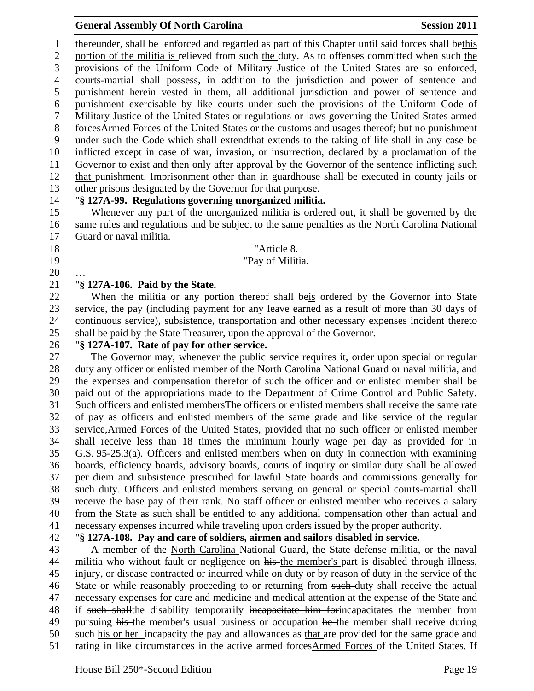1 thereunder, shall be enforced and regarded as part of this Chapter until said forces shall bethis 2 portion of the militia is relieved from such the duty. As to offenses committed when such the provisions of the Uniform Code of Military Justice of the United States are so enforced, courts-martial shall possess, in addition to the jurisdiction and power of sentence and punishment herein vested in them, all additional jurisdiction and power of sentence and 6 punishment exercisable by like courts under such the provisions of the Uniform Code of Military Justice of the United States or regulations or laws governing the United States armed 8 forcesArmed Forces of the United States or the customs and usages thereof; but no punishment under such the Code which shall extendthat extends to the taking of life shall in any case be inflicted except in case of war, invasion, or insurrection, declared by a proclamation of the 11 Governor to exist and then only after approval by the Governor of the sentence inflicting such that punishment. Imprisonment other than in guardhouse shall be executed in county jails or other prisons designated by the Governor for that purpose.

#### "**§ 127A-99. Regulations governing unorganized militia.**

 Whenever any part of the unorganized militia is ordered out, it shall be governed by the same rules and regulations and be subject to the same penalties as the North Carolina National Guard or naval militia.

#### 18 The Terms of the Matrice 8.

#### 19 The Pay of Militia.

…

#### "**§ 127A-106. Paid by the State.**

22 When the militia or any portion thereof shall beis ordered by the Governor into State service, the pay (including payment for any leave earned as a result of more than 30 days of continuous service), subsistence, transportation and other necessary expenses incident thereto shall be paid by the State Treasurer, upon the approval of the Governor.

#### "**§ 127A-107. Rate of pay for other service.**

 The Governor may, whenever the public service requires it, order upon special or regular duty any officer or enlisted member of the North Carolina National Guard or naval militia, and 29 the expenses and compensation therefor of such the officer and or enlisted member shall be paid out of the appropriations made to the Department of Crime Control and Public Safety. 31 Such officers and enlisted members The officers or enlisted members shall receive the same rate of pay as officers and enlisted members of the same grade and like service of the regular service,Armed Forces of the United States, provided that no such officer or enlisted member shall receive less than 18 times the minimum hourly wage per day as provided for in G.S. 95-25.3(a). Officers and enlisted members when on duty in connection with examining boards, efficiency boards, advisory boards, courts of inquiry or similar duty shall be allowed per diem and subsistence prescribed for lawful State boards and commissions generally for such duty. Officers and enlisted members serving on general or special courts-martial shall receive the base pay of their rank. No staff officer or enlisted member who receives a salary from the State as such shall be entitled to any additional compensation other than actual and necessary expenses incurred while traveling upon orders issued by the proper authority.

## "**§ 127A-108. Pay and care of soldiers, airmen and sailors disabled in service.**

 A member of the North Carolina National Guard, the State defense militia, or the naval 44 militia who without fault or negligence on his the member's part is disabled through illness, injury, or disease contracted or incurred while on duty or by reason of duty in the service of the 46 State or while reasonably proceeding to or returning from such-duty shall receive the actual necessary expenses for care and medicine and medical attention at the expense of the State and 48 if such shall the disability temporarily incapacitate him for incapacitates the member from 49 pursuing his the member's usual business or occupation he the member shall receive during 50 such his or her incapacity the pay and allowances as that are provided for the same grade and 51 rating in like circumstances in the active armed forcesArmed Forces of the United States. If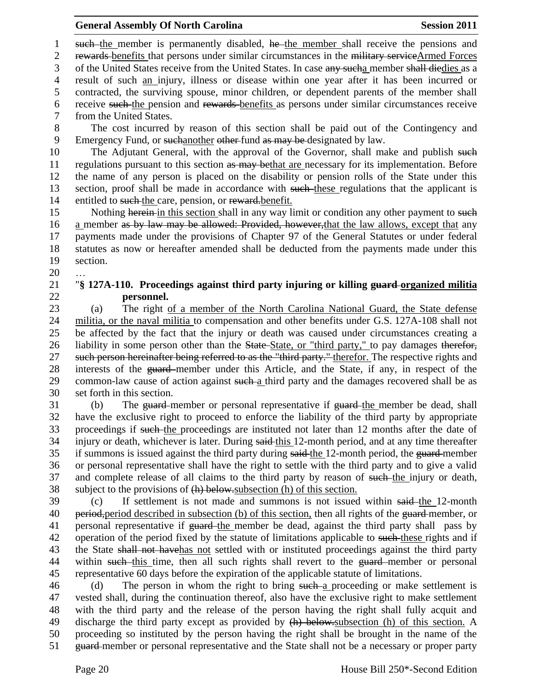1 such the member is permanently disabled, he the member shall receive the pensions and 2 rewards benefits that persons under similar circumstances in the military serviceArmed Forces 3 of the United States receive from the United States. In case any such a member shall diedies as a 4 result of such an injury, illness or disease within one year after it has been incurred or 5 contracted, the surviving spouse, minor children, or dependent parents of the member shall 6 receive such the pension and rewards benefits as persons under similar circumstances receive 7 from the United States.

8 The cost incurred by reason of this section shall be paid out of the Contingency and 9 Emergency Fund, or suchanother other fund as may be designated by law.

10 The Adjutant General, with the approval of the Governor, shall make and publish such 11 regulations pursuant to this section as may be that are necessary for its implementation. Before 12 the name of any person is placed on the disability or pension rolls of the State under this 13 section, proof shall be made in accordance with such these regulations that the applicant is 14 entitled to such the care, pension, or reward-benefit.

15 Nothing herein in this section shall in any way limit or condition any other payment to such 16 a member as by law may be allowed: Provided, however, that the law allows, except that any 17 payments made under the provisions of Chapter 97 of the General Statutes or under federal 18 statutes as now or hereafter amended shall be deducted from the payments made under this 19 section.

20 …

#### 21 "**§ 127A-110. Proceedings against third party injuring or killing guard organized militia**  22 **personnel.**

 (a) The right of a member of the North Carolina National Guard, the State defense militia, or the naval militia to compensation and other benefits under G.S. 127A-108 shall not be affected by the fact that the injury or death was caused under circumstances creating a 26 liability in some person other than the State-State, or "third party," to pay damages therefor, 27 such person hereinafter being referred to as the "third party." therefor. The respective rights and interests of the guard member under this Article, and the State, if any, in respect of the 29 common-law cause of action against such a third party and the damages recovered shall be as set forth in this section.

31 (b) The guard-member or personal representative if guard-the member be dead, shall 32 have the exclusive right to proceed to enforce the liability of the third party by appropriate 33 proceedings if such the proceedings are instituted not later than 12 months after the date of 34 injury or death, whichever is later. During said-this 12-month period, and at any time thereafter 35 if summons is issued against the third party during said-the 12-month period, the guard-member 36 or personal representative shall have the right to settle with the third party and to give a valid 37 and complete release of all claims to the third party by reason of such-the injury or death, 38 subject to the provisions of (h) below.subsection (h) of this section.

39 (c) If settlement is not made and summons is not issued within said the 12-month 40 period, period described in subsection (b) of this section, then all rights of the guard member, or 41 personal representative if guard-the member be dead, against the third party shall pass by 42 operation of the period fixed by the statute of limitations applicable to such-these rights and if 43 the State shall not have has not settled with or instituted proceedings against the third party 44 within such this time, then all such rights shall revert to the guard-member or personal 45 representative 60 days before the expiration of the applicable statute of limitations.

46 (d) The person in whom the right to bring such a proceeding or make settlement is vested shall, during the continuation thereof, also have the exclusive right to make settlement with the third party and the release of the person having the right shall fully acquit and discharge the third party except as provided by (h) below.subsection (h) of this section. A proceeding so instituted by the person having the right shall be brought in the name of the 51 guard member or personal representative and the State shall not be a necessary or proper party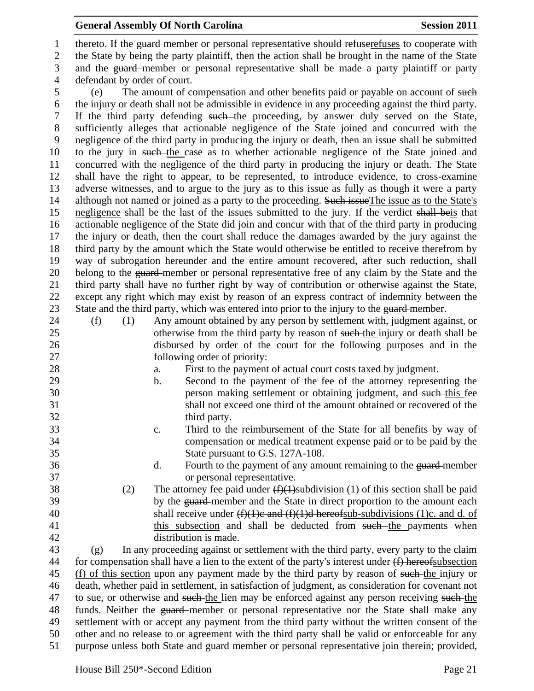1 thereto. If the guard member or personal representative should refuserefuses to cooperate with the State by being the party plaintiff, then the action shall be brought in the name of the State and the guard member or personal representative shall be made a party plaintiff or party defendant by order of court.

 (e) The amount of compensation and other benefits paid or payable on account of such the injury or death shall not be admissible in evidence in any proceeding against the third party. If the third party defending such the proceeding, by answer duly served on the State, sufficiently alleges that actionable negligence of the State joined and concurred with the negligence of the third party in producing the injury or death, then an issue shall be submitted to the jury in such the case as to whether actionable negligence of the State joined and concurred with the negligence of the third party in producing the injury or death. The State shall have the right to appear, to be represented, to introduce evidence, to cross-examine adverse witnesses, and to argue to the jury as to this issue as fully as though it were a party 14 although not named or joined as a party to the proceeding. Such issue The issue as to the State's 15 negligence shall be the last of the issues submitted to the jury. If the verdict shall beis that actionable negligence of the State did join and concur with that of the third party in producing the injury or death, then the court shall reduce the damages awarded by the jury against the third party by the amount which the State would otherwise be entitled to receive therefrom by way of subrogation hereunder and the entire amount recovered, after such reduction, shall 20 belong to the guard-member or personal representative free of any claim by the State and the third party shall have no further right by way of contribution or otherwise against the State, except any right which may exist by reason of an express contract of indemnity between the 23 State and the third party, which was entered into prior to the injury to the guard-member.

 (f) (1) Any amount obtained by any person by settlement with, judgment against, or 25 otherwise from the third party by reason of such the injury or death shall be disbursed by order of the court for the following purposes and in the 27 following order of priority:

- a. First to the payment of actual court costs taxed by judgment.
- b. Second to the payment of the fee of the attorney representing the 30 **person making settlement or obtaining judgment, and <del>such this</del> fee**  shall not exceed one third of the amount obtained or recovered of the third party.
- c. Third to the reimbursement of the State for all benefits by way of compensation or medical treatment expense paid or to be paid by the State pursuant to G.S. 127A-108.
- 36 d. Fourth to the payment of any amount remaining to the guard-member or personal representative.
- 38 (2) The attorney fee paid under  $(f)(1)$ subdivision (1) of this section shall be paid 39 by the guard-member and the State in direct proportion to the amount each 40 shall receive under  $(f)(1)e$  and  $(f)(1)d$  hereofsub-subdivisions (1)c. and d. of 41 this subsection and shall be deducted from such the payments when distribution is made.

 (g) In any proceeding against or settlement with the third party, every party to the claim 44 for compensation shall have a lien to the extent of the party's interest under  $(f)$  hereofsubsection 45 (f) of this section upon any payment made by the third party by reason of such the injury or death, whether paid in settlement, in satisfaction of judgment, as consideration for covenant not 47 to sue, or otherwise and such-the lien may be enforced against any person receiving such-the funds. Neither the guard member or personal representative nor the State shall make any settlement with or accept any payment from the third party without the written consent of the other and no release to or agreement with the third party shall be valid or enforceable for any 51 purpose unless both State and guard-member or personal representative join therein; provided,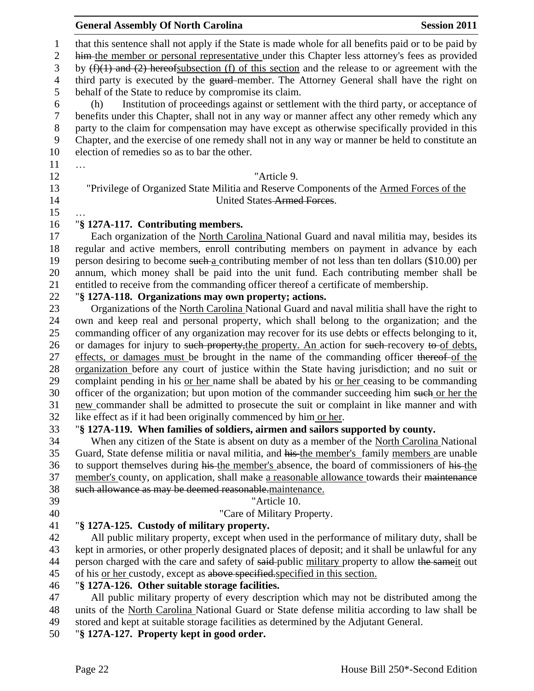|                                | <b>Session 2011</b><br><b>General Assembly Of North Carolina</b>                                                                                                                                      |
|--------------------------------|-------------------------------------------------------------------------------------------------------------------------------------------------------------------------------------------------------|
| $\mathbf{1}$<br>$\overline{2}$ | that this sentence shall not apply if the State is made whole for all benefits paid or to be paid by<br>him-the member or personal representative under this Chapter less attorney's fees as provided |
| 3<br>$\overline{4}$            | by $(f)(1)$ and $(2)$ hereofsubsection (f) of this section and the release to or agreement with the<br>third party is executed by the guard-member. The Attorney General shall have the right on      |
| 5                              | behalf of the State to reduce by compromise its claim.                                                                                                                                                |
| 6<br>$\boldsymbol{7}$          | Institution of proceedings against or settlement with the third party, or acceptance of<br>(h)<br>benefits under this Chapter, shall not in any way or manner affect any other remedy which any       |
| $8\phantom{1}$<br>9            | party to the claim for compensation may have except as otherwise specifically provided in this<br>Chapter, and the exercise of one remedy shall not in any way or manner be held to constitute an     |
| 10<br>11                       | election of remedies so as to bar the other.<br>.                                                                                                                                                     |
| 12                             | "Article 9.                                                                                                                                                                                           |
| 13                             | "Privilege of Organized State Militia and Reserve Components of the Armed Forces of the                                                                                                               |
| 14<br>15                       | United States-Armed Forces.                                                                                                                                                                           |
| 16                             | "§ 127A-117. Contributing members.                                                                                                                                                                    |
| 17                             | Each organization of the North Carolina National Guard and naval militia may, besides its                                                                                                             |
| 18                             | regular and active members, enroll contributing members on payment in advance by each                                                                                                                 |
| 19                             | person desiring to become such a contributing member of not less than ten dollars (\$10.00) per                                                                                                       |
| 20                             | annum, which money shall be paid into the unit fund. Each contributing member shall be                                                                                                                |
| 21                             | entitled to receive from the commanding officer thereof a certificate of membership.                                                                                                                  |
| 22                             | "§ 127A-118. Organizations may own property; actions.                                                                                                                                                 |
| 23                             | Organizations of the North Carolina National Guard and naval militia shall have the right to                                                                                                          |
| 24<br>25                       | own and keep real and personal property, which shall belong to the organization; and the<br>commanding officer of any organization may recover for its use debts or effects belonging to it,          |
| 26                             | or damages for injury to such property, the property. An action for such-recovery to of debts,                                                                                                        |
| 27                             | effects, or damages must be brought in the name of the commanding officer thereof of the                                                                                                              |
| 28                             | organization before any court of justice within the State having jurisdiction; and no suit or                                                                                                         |
| 29                             | complaint pending in his or her name shall be abated by his or her ceasing to be commanding                                                                                                           |
| 30                             | officer of the organization; but upon motion of the commander succeeding him such or her the                                                                                                          |
| 31                             | new commander shall be admitted to prosecute the suit or complaint in like manner and with                                                                                                            |
| 32                             | like effect as if it had been originally commenced by him or her.                                                                                                                                     |
| 33                             | "§ 127A-119. When families of soldiers, airmen and sailors supported by county.                                                                                                                       |
| 34                             | When any citizen of the State is absent on duty as a member of the North Carolina National                                                                                                            |
| 35                             | Guard, State defense militia or naval militia, and his the member's family members are unable                                                                                                         |
| 36                             | to support themselves during his the member's absence, the board of commissioners of his the                                                                                                          |
| 37                             | member's county, on application, shall make a reasonable allowance towards their maintenance                                                                                                          |
| 38                             | such allowance as may be deemed reasonable.maintenance.                                                                                                                                               |
| 39                             | "Article 10.                                                                                                                                                                                          |
| 40                             | "Care of Military Property.                                                                                                                                                                           |
| 41                             | "§ 127A-125. Custody of military property.                                                                                                                                                            |
| 42                             | All public military property, except when used in the performance of military duty, shall be                                                                                                          |
| 43                             | kept in armories, or other properly designated places of deposit; and it shall be unlawful for any                                                                                                    |
| 44                             | person charged with the care and safety of said-public military property to allow the same it out                                                                                                     |
| 45                             | of his <u>or her</u> custody, except as above specified specified in this section.                                                                                                                    |
| 46                             | "§ 127A-126. Other suitable storage facilities.                                                                                                                                                       |
| 47                             | All public military property of every description which may not be distributed among the                                                                                                              |
| 48<br>49                       | units of the North Carolina National Guard or State defense militia according to law shall be<br>stored and kept at suitable storage facilities as determined by the Adjutant General.                |
| 50                             | "§ 127A-127. Property kept in good order.                                                                                                                                                             |
|                                |                                                                                                                                                                                                       |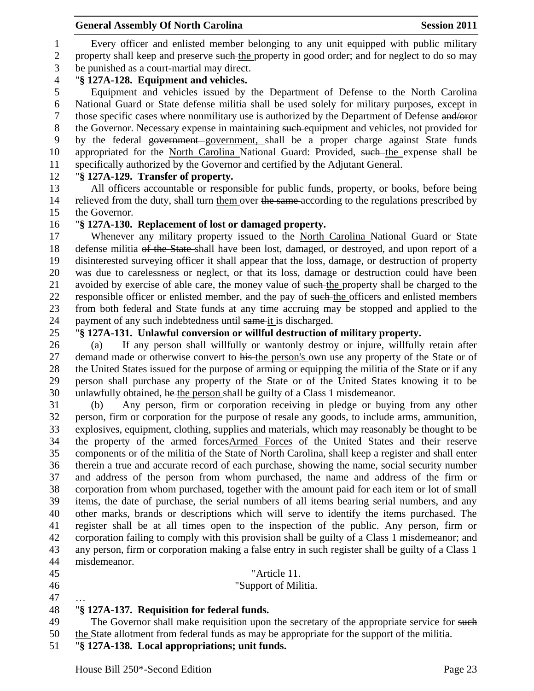Every officer and enlisted member belonging to any unit equipped with public military 2 property shall keep and preserve such the property in good order; and for neglect to do so may be punished as a court-martial may direct.

# "**§ 127A-128. Equipment and vehicles.**

 Equipment and vehicles issued by the Department of Defense to the North Carolina National Guard or State defense militia shall be used solely for military purposes, except in those specific cases where nonmilitary use is authorized by the Department of Defense and/oror 8 the Governor. Necessary expense in maintaining such equipment and vehicles, not provided for by the federal government government, shall be a proper charge against State funds 10 appropriated for the North Carolina National Guard: Provided, such the expense shall be specifically authorized by the Governor and certified by the Adjutant General.

# "**§ 127A-129. Transfer of property.**

 All officers accountable or responsible for public funds, property, or books, before being 14 relieved from the duty, shall turn them over the same according to the regulations prescribed by the Governor.

# "**§ 127A-130. Replacement of lost or damaged property.**

 Whenever any military property issued to the North Carolina National Guard or State defense militia of the State shall have been lost, damaged, or destroyed, and upon report of a disinterested surveying officer it shall appear that the loss, damage, or destruction of property was due to carelessness or neglect, or that its loss, damage or destruction could have been 21 avoided by exercise of able care, the money value of such the property shall be charged to the 22 responsible officer or enlisted member, and the pay of such the officers and enlisted members from both federal and State funds at any time accruing may be stopped and applied to the 24 payment of any such indebtedness until same it is discharged.

# "**§ 127A-131. Unlawful conversion or willful destruction of military property.**

 (a) If any person shall willfully or wantonly destroy or injure, willfully retain after 27 demand made or otherwise convert to his the person's own use any property of the State or of the United States issued for the purpose of arming or equipping the militia of the State or if any person shall purchase any property of the State or of the United States knowing it to be unlawfully obtained, he the person shall be guilty of a Class 1 misdemeanor.

 (b) Any person, firm or corporation receiving in pledge or buying from any other person, firm or corporation for the purpose of resale any goods, to include arms, ammunition, explosives, equipment, clothing, supplies and materials, which may reasonably be thought to be the property of the armed forcesArmed Forces of the United States and their reserve components or of the militia of the State of North Carolina, shall keep a register and shall enter therein a true and accurate record of each purchase, showing the name, social security number and address of the person from whom purchased, the name and address of the firm or corporation from whom purchased, together with the amount paid for each item or lot of small items, the date of purchase, the serial numbers of all items bearing serial numbers, and any other marks, brands or descriptions which will serve to identify the items purchased. The register shall be at all times open to the inspection of the public. Any person, firm or corporation failing to comply with this provision shall be guilty of a Class 1 misdemeanor; and any person, firm or corporation making a false entry in such register shall be guilty of a Class 1 misdemeanor.

- "Article 11.
- "Support of Militia.
- …

### "**§ 127A-137. Requisition for federal funds.**

49 The Governor shall make requisition upon the secretary of the appropriate service for such

- the State allotment from federal funds as may be appropriate for the support of the militia.
- "**§ 127A-138. Local appropriations; unit funds.**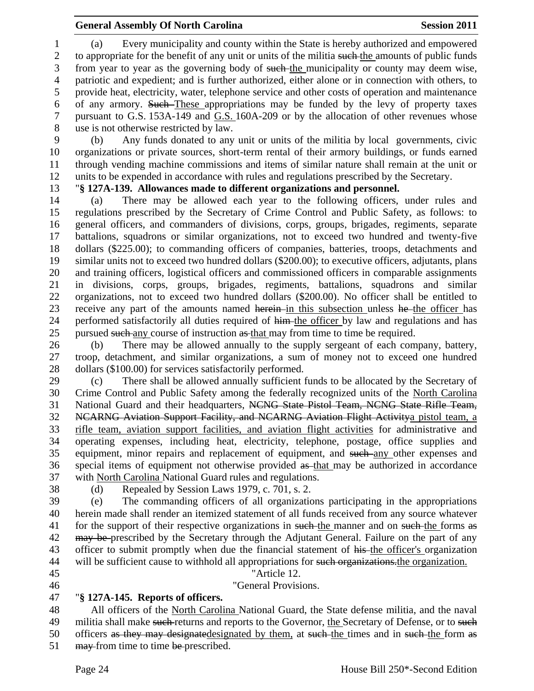(a) Every municipality and county within the State is hereby authorized and empowered 2 to appropriate for the benefit of any unit or units of the militia such the amounts of public funds from year to year as the governing body of such the municipality or county may deem wise, patriotic and expedient; and is further authorized, either alone or in connection with others, to provide heat, electricity, water, telephone service and other costs of operation and maintenance 6 of any armory. Such These appropriations may be funded by the levy of property taxes pursuant to G.S. 153A-149 and G.S. 160A-209 or by the allocation of other revenues whose use is not otherwise restricted by law.

 (b) Any funds donated to any unit or units of the militia by local governments, civic organizations or private sources, short-term rental of their armory buildings, or funds earned through vending machine commissions and items of similar nature shall remain at the unit or units to be expended in accordance with rules and regulations prescribed by the Secretary.

"**§ 127A-139. Allowances made to different organizations and personnel.**

 (a) There may be allowed each year to the following officers, under rules and regulations prescribed by the Secretary of Crime Control and Public Safety, as follows: to general officers, and commanders of divisions, corps, groups, brigades, regiments, separate battalions, squadrons or similar organizations, not to exceed two hundred and twenty-five dollars (\$225.00); to commanding officers of companies, batteries, troops, detachments and similar units not to exceed two hundred dollars (\$200.00); to executive officers, adjutants, plans and training officers, logistical officers and commissioned officers in comparable assignments in divisions, corps, groups, brigades, regiments, battalions, squadrons and similar organizations, not to exceed two hundred dollars (\$200.00). No officer shall be entitled to 23 receive any part of the amounts named herein in this subsection unless he the officer has 24 performed satisfactorily all duties required of him-the officer by law and regulations and has 25 pursued such any course of instruction as that may from time to time be required.

 (b) There may be allowed annually to the supply sergeant of each company, battery, troop, detachment, and similar organizations, a sum of money not to exceed one hundred dollars (\$100.00) for services satisfactorily performed.

 (c) There shall be allowed annually sufficient funds to be allocated by the Secretary of Crime Control and Public Safety among the federally recognized units of the North Carolina National Guard and their headquarters, NCNG State Pistol Team, NCNG State Rifle Team, 32 NCARNG Aviation Support Facility, and NCARNG Aviation Flight Activitya pistol team, a rifle team, aviation support facilities, and aviation flight activities for administrative and operating expenses, including heat, electricity, telephone, postage, office supplies and equipment, minor repairs and replacement of equipment, and such any other expenses and special items of equipment not otherwise provided as that may be authorized in accordance with North Carolina National Guard rules and regulations.

- 
- (d) Repealed by Session Laws 1979, c. 701, s. 2.

 (e) The commanding officers of all organizations participating in the appropriations herein made shall render an itemized statement of all funds received from any source whatever 41 for the support of their respective organizations in such the manner and on such the forms as 42 may be prescribed by the Secretary through the Adjutant General. Failure on the part of any 43 officer to submit promptly when due the financial statement of his-the officer's organization 44 will be sufficient cause to withhold all appropriations for such organizations the organization.

- 
- 

 "Article 12. "General Provisions.

# "**§ 127A-145. Reports of officers.**

 All officers of the North Carolina National Guard, the State defense militia, and the naval 49 militia shall make such returns and reports to the Governor, the Secretary of Defense, or to such 50 officers as they may designatedesignated by them, at such the times and in such the form as 51 may from time to time be prescribed.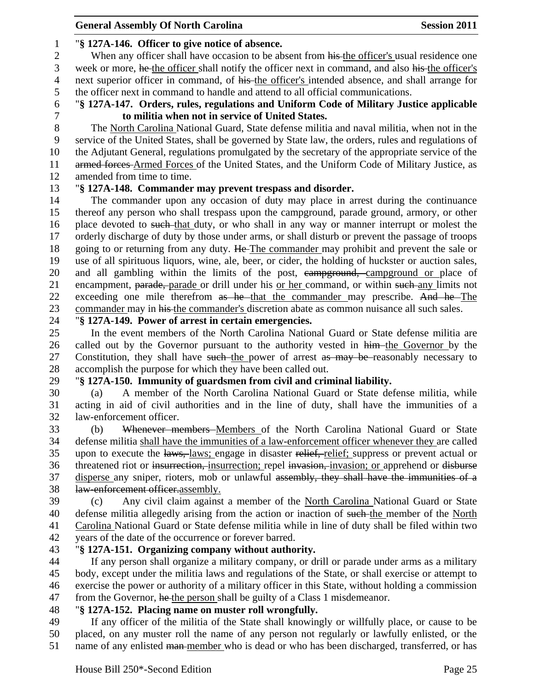## "**§ 127A-146. Officer to give notice of absence.**

2 When any officer shall have occasion to be absent from his the officer's usual residence one week or more, he the officer shall notify the officer next in command, and also his the officer's next superior officer in command, of his the officer's intended absence, and shall arrange for the officer next in command to handle and attend to all official communications.

 "**§ 127A-147. Orders, rules, regulations and Uniform Code of Military Justice applicable to militia when not in service of United States.**

 The North Carolina National Guard, State defense militia and naval militia, when not in the service of the United States, shall be governed by State law, the orders, rules and regulations of the Adjutant General, regulations promulgated by the secretary of the appropriate service of the 11 armed forces-Armed Forces of the United States, and the Uniform Code of Military Justice, as amended from time to time.

### "**§ 127A-148. Commander may prevent trespass and disorder.**

 The commander upon any occasion of duty may place in arrest during the continuance thereof any person who shall trespass upon the campground, parade ground, armory, or other 16 place devoted to such that duty, or who shall in any way or manner interrupt or molest the orderly discharge of duty by those under arms, or shall disturb or prevent the passage of troops 18 going to or returning from any duty. He The commander may prohibit and prevent the sale or use of all spirituous liquors, wine, ale, beer, or cider, the holding of huckster or auction sales, 20 and all gambling within the limits of the post, campground, campground or place of 21 encampment, parade, parade or drill under his or her command, or within such any limits not 22 exceeding one mile therefrom as he that the commander may prescribe. And he The commander may in his the commander's discretion abate as common nuisance all such sales.

# "**§ 127A-149. Power of arrest in certain emergencies.**

 In the event members of the North Carolina National Guard or State defense militia are 26 called out by the Governor pursuant to the authority vested in him the Governor by the 27 Constitution, they shall have such the power of arrest as may be reasonably necessary to accomplish the purpose for which they have been called out.

# "**§ 127A-150. Immunity of guardsmen from civil and criminal liability.**

 (a) A member of the North Carolina National Guard or State defense militia, while acting in aid of civil authorities and in the line of duty, shall have the immunities of a law-enforcement officer.

 (b) Whenever members Members of the North Carolina National Guard or State defense militia shall have the immunities of a law-enforcement officer whenever they are called upon to execute the laws, laws; engage in disaster relief, relief; suppress or prevent actual or 36 threatened riot or insurrection, insurrection; repel invasion, invasion; or apprehend or disburse disperse any sniper, rioters, mob or unlawful assembly, they shall have the immunities of a law-enforcement officer.assembly.

 (c) Any civil claim against a member of the North Carolina National Guard or State 40 defense militia allegedly arising from the action or inaction of such-the member of the North Carolina National Guard or State defense militia while in line of duty shall be filed within two years of the date of the occurrence or forever barred.

# "**§ 127A-151. Organizing company without authority.**

 If any person shall organize a military company, or drill or parade under arms as a military body, except under the militia laws and regulations of the State, or shall exercise or attempt to exercise the power or authority of a military officer in this State, without holding a commission 47 from the Governor, he the person shall be guilty of a Class 1 misdemeanor.

# "**§ 127A-152. Placing name on muster roll wrongfully.**

 If any officer of the militia of the State shall knowingly or willfully place, or cause to be placed, on any muster roll the name of any person not regularly or lawfully enlisted, or the 51 name of any enlisted man-member who is dead or who has been discharged, transferred, or has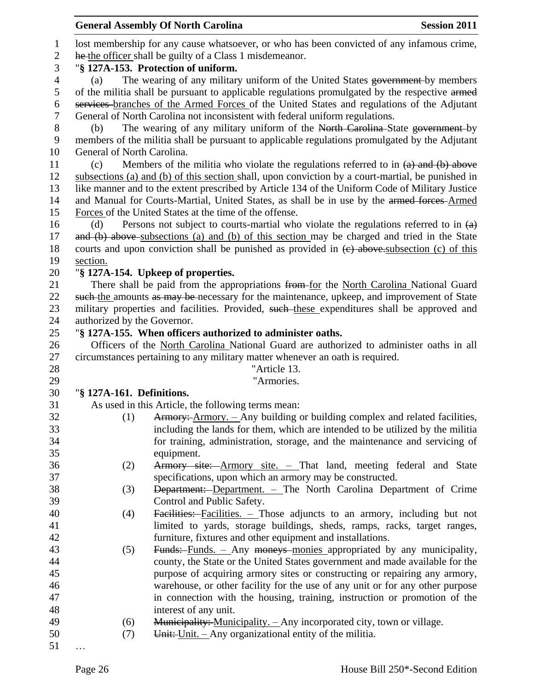|                  |                             | <b>General Assembly Of North Carolina</b>                                                         | <b>Session 2011</b> |
|------------------|-----------------------------|---------------------------------------------------------------------------------------------------|---------------------|
| $\mathbf{1}$     |                             | lost membership for any cause whatsoever, or who has been convicted of any infamous crime,        |                     |
| $\mathbf{2}$     |                             | he the officer shall be guilty of a Class 1 misdemeanor.                                          |                     |
| 3                |                             | "§ 127A-153. Protection of uniform.                                                               |                     |
| $\overline{4}$   | (a)                         | The wearing of any military uniform of the United States government by members                    |                     |
| 5                |                             | of the militia shall be pursuant to applicable regulations promulgated by the respective armed    |                     |
| 6                |                             | services-branches of the Armed Forces of the United States and regulations of the Adjutant        |                     |
| $\boldsymbol{7}$ |                             | General of North Carolina not inconsistent with federal uniform regulations.                      |                     |
| $8\,$            | (b)                         | The wearing of any military uniform of the North Carolina-State government-by                     |                     |
| 9                |                             |                                                                                                   |                     |
|                  |                             | members of the militia shall be pursuant to applicable regulations promulgated by the Adjutant    |                     |
| 10               | General of North Carolina.  |                                                                                                   |                     |
| 11               | (c)                         | Members of the militia who violate the regulations referred to in $(a)$ and $(b)$ above           |                     |
| 12               |                             | subsections (a) and (b) of this section shall, upon conviction by a court-martial, be punished in |                     |
| 13               |                             | like manner and to the extent prescribed by Article 134 of the Uniform Code of Military Justice   |                     |
| 14               |                             | and Manual for Courts-Martial, United States, as shall be in use by the armed forces-Armed        |                     |
| 15               |                             | Forces of the United States at the time of the offense.                                           |                     |
| 16               | (d)                         | Persons not subject to courts-martial who violate the regulations referred to in $(a)$            |                     |
| 17               |                             | and (b) above subsections (a) and (b) of this section may be charged and tried in the State       |                     |
| 18               |                             | courts and upon conviction shall be punished as provided in $(e)$ above subsection (c) of this    |                     |
| 19               | section.                    |                                                                                                   |                     |
| 20               |                             | "§ 127A-154. Upkeep of properties.                                                                |                     |
| 21               |                             | There shall be paid from the appropriations from for the North Carolina National Guard            |                     |
| 22               |                             | such the amounts as may be necessary for the maintenance, upkeep, and improvement of State        |                     |
| 23               |                             | military properties and facilities. Provided, such these expenditures shall be approved and       |                     |
| 24               | authorized by the Governor. |                                                                                                   |                     |
| 25               |                             | "§ 127A-155. When officers authorized to administer oaths.                                        |                     |
| 26               |                             | Officers of the North Carolina National Guard are authorized to administer oaths in all           |                     |
| 27               |                             | circumstances pertaining to any military matter whenever an oath is required.                     |                     |
| 28               |                             | "Article 13.                                                                                      |                     |
| 29               |                             | "Armories.                                                                                        |                     |
| 30               | "§ 127A-161. Definitions.   |                                                                                                   |                     |
| 31               |                             | As used in this Article, the following terms mean:                                                |                     |
| 32               | (1)                         | Armory: Armory. – Any building or building complex and related facilities,                        |                     |
| 33               |                             | including the lands for them, which are intended to be utilized by the militia                    |                     |
| 34               |                             | for training, administration, storage, and the maintenance and servicing of                       |                     |
| 35               |                             | equipment.                                                                                        |                     |
| 36               | (2)                         | Armory site: Armory site. - That land, meeting federal and State                                  |                     |
| 37               |                             | specifications, upon which an armory may be constructed.                                          |                     |
| 38               | (3)                         | Department: Department. - The North Carolina Department of Crime                                  |                     |
| 39               |                             | Control and Public Safety.                                                                        |                     |
| 40               | (4)                         | Facilities: Facilities. - Those adjuncts to an armory, including but not                          |                     |
| 41               |                             | limited to yards, storage buildings, sheds, ramps, racks, target ranges,                          |                     |
| 42               |                             | furniture, fixtures and other equipment and installations.                                        |                     |
| 43               | (5)                         | Funds: Funds. - Any moneys monies appropriated by any municipality,                               |                     |
| 44               |                             | county, the State or the United States government and made available for the                      |                     |
| 45               |                             | purpose of acquiring armory sites or constructing or repairing any armory,                        |                     |
| 46               |                             | warehouse, or other facility for the use of any unit or for any other purpose                     |                     |
| 47               |                             | in connection with the housing, training, instruction or promotion of the                         |                     |
| 48               |                             | interest of any unit.                                                                             |                     |
| 49               | (6)                         | Municipality: Municipality. - Any incorporated city, town or village.                             |                     |
| 50               | (7)                         | Unit: $Unit. - Any organizational entity of the milita.$                                          |                     |
| 51               |                             |                                                                                                   |                     |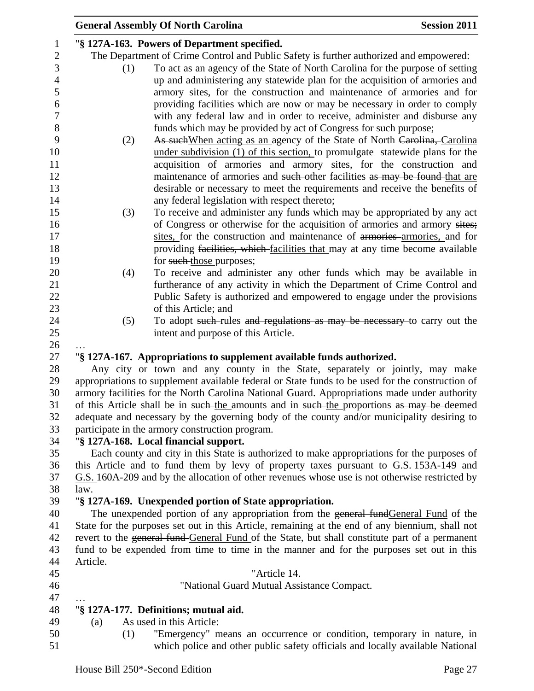|                |          | <b>General Assembly Of North Carolina</b>                                                                                                                                                | <b>Session 2011</b> |
|----------------|----------|------------------------------------------------------------------------------------------------------------------------------------------------------------------------------------------|---------------------|
| $\mathbf{1}$   |          | "§ 127A-163. Powers of Department specified.                                                                                                                                             |                     |
| $\sqrt{2}$     |          | The Department of Crime Control and Public Safety is further authorized and empowered:                                                                                                   |                     |
| 3              | (1)      | To act as an agency of the State of North Carolina for the purpose of setting                                                                                                            |                     |
| $\overline{4}$ |          | up and administering any statewide plan for the acquisition of armories and                                                                                                              |                     |
| $\mathfrak s$  |          | armory sites, for the construction and maintenance of armories and for                                                                                                                   |                     |
| 6              |          | providing facilities which are now or may be necessary in order to comply                                                                                                                |                     |
| $\tau$         |          | with any federal law and in order to receive, administer and disburse any                                                                                                                |                     |
| 8              |          | funds which may be provided by act of Congress for such purpose;                                                                                                                         |                     |
| 9              | (2)      | As such When acting as an agency of the State of North Carolina, Carolina                                                                                                                |                     |
| 10             |          | under subdivision (1) of this section, to promulgate statewide plans for the                                                                                                             |                     |
| 11             |          | acquisition of armories and armory sites, for the construction and                                                                                                                       |                     |
| 12             |          | maintenance of armories and such-other facilities as may be found-that are                                                                                                               |                     |
| 13             |          | desirable or necessary to meet the requirements and receive the benefits of                                                                                                              |                     |
| 14             |          | any federal legislation with respect thereto;                                                                                                                                            |                     |
| 15             | (3)      | To receive and administer any funds which may be appropriated by any act                                                                                                                 |                     |
| 16             |          | of Congress or otherwise for the acquisition of armories and armory sites;                                                                                                               |                     |
| 17             |          | sites, for the construction and maintenance of armories-armories, and for                                                                                                                |                     |
| 18             |          | providing facilities, which facilities that may at any time become available                                                                                                             |                     |
| 19             |          | for such those purposes;                                                                                                                                                                 |                     |
| 20             | (4)      | To receive and administer any other funds which may be available in                                                                                                                      |                     |
| 21             |          | furtherance of any activity in which the Department of Crime Control and                                                                                                                 |                     |
| 22             |          | Public Safety is authorized and empowered to engage under the provisions                                                                                                                 |                     |
| 23             |          | of this Article; and                                                                                                                                                                     |                     |
| 24             | (5)      | To adopt such-rules and regulations as may be necessary to carry out the                                                                                                                 |                     |
| 25             |          | intent and purpose of this Article.                                                                                                                                                      |                     |
| 26             |          |                                                                                                                                                                                          |                     |
| 27             |          | "§ 127A-167. Appropriations to supplement available funds authorized.                                                                                                                    |                     |
| 28             |          | Any city or town and any county in the State, separately or jointly, may make                                                                                                            |                     |
| 29             |          | appropriations to supplement available federal or State funds to be used for the construction of                                                                                         |                     |
| 30             |          | armory facilities for the North Carolina National Guard. Appropriations made under authority                                                                                             |                     |
| 31             |          | of this Article shall be in such the amounts and in such the proportions as may be deemed                                                                                                |                     |
| 32             |          | adequate and necessary by the governing body of the county and/or municipality desiring to                                                                                               |                     |
| 33             |          | participate in the armory construction program.                                                                                                                                          |                     |
| 34             |          | "§ 127A-168. Local financial support.                                                                                                                                                    |                     |
| 35             |          | Each county and city in this State is authorized to make appropriations for the purposes of                                                                                              |                     |
| 36             |          | this Article and to fund them by levy of property taxes pursuant to G.S. 153A-149 and                                                                                                    |                     |
| 37             |          | G.S. 160A-209 and by the allocation of other revenues whose use is not otherwise restricted by                                                                                           |                     |
| 38             | law.     |                                                                                                                                                                                          |                     |
| 39             |          | "§ 127A-169. Unexpended portion of State appropriation.                                                                                                                                  |                     |
| 40             |          | The unexpended portion of any appropriation from the general fund General Fund of the<br>State for the purposes set out in this Article, remaining at the end of any biennium, shall not |                     |
| 41<br>42       |          | revert to the general fund-General Fund of the State, but shall constitute part of a permanent                                                                                           |                     |
| 43             |          | fund to be expended from time to time in the manner and for the purposes set out in this                                                                                                 |                     |
| 44             | Article. |                                                                                                                                                                                          |                     |
| 45             |          | "Article 14.                                                                                                                                                                             |                     |
| 46             |          | "National Guard Mutual Assistance Compact.                                                                                                                                               |                     |
| 47             |          |                                                                                                                                                                                          |                     |
| 48             |          | "§ 127A-177. Definitions; mutual aid.                                                                                                                                                    |                     |
| 49             | (a)      | As used in this Article:                                                                                                                                                                 |                     |
| 50             | (1)      | "Emergency" means an occurrence or condition, temporary in nature, in                                                                                                                    |                     |
| 51             |          | which police and other public safety officials and locally available National                                                                                                            |                     |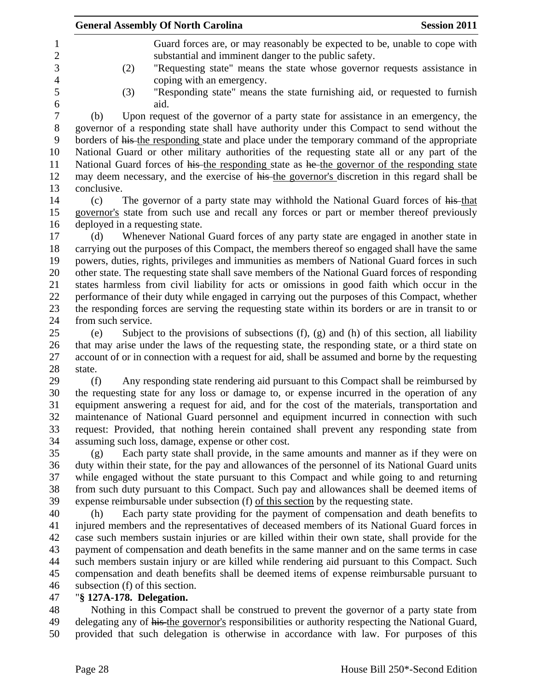|                    | <b>General Assembly Of North Carolina</b><br><b>Session 2011</b>                                                                                                                |
|--------------------|---------------------------------------------------------------------------------------------------------------------------------------------------------------------------------|
|                    | Guard forces are, or may reasonably be expected to be, unable to cope with                                                                                                      |
|                    | substantial and imminent danger to the public safety.                                                                                                                           |
|                    | "Requesting state" means the state whose governor requests assistance in<br>(2)                                                                                                 |
|                    | coping with an emergency.                                                                                                                                                       |
|                    | "Responding state" means the state furnishing aid, or requested to furnish<br>(3)<br>aid.                                                                                       |
| (b)                | Upon request of the governor of a party state for assistance in an emergency, the                                                                                               |
|                    | governor of a responding state shall have authority under this Compact to send without the                                                                                      |
|                    | borders of his-the responding state and place under the temporary command of the appropriate                                                                                    |
|                    | National Guard or other military authorities of the requesting state all or any part of the                                                                                     |
|                    | National Guard forces of his the responding state as he the governor of the responding state                                                                                    |
|                    | may deem necessary, and the exercise of his the governor's discretion in this regard shall be                                                                                   |
| conclusive.        |                                                                                                                                                                                 |
| (c)                | The governor of a party state may withhold the National Guard forces of his-that                                                                                                |
|                    | governor's state from such use and recall any forces or part or member thereof previously                                                                                       |
|                    | deployed in a requesting state.                                                                                                                                                 |
| (d)                | Whenever National Guard forces of any party state are engaged in another state in                                                                                               |
|                    | carrying out the purposes of this Compact, the members thereof so engaged shall have the same                                                                                   |
|                    | powers, duties, rights, privileges and immunities as members of National Guard forces in such                                                                                   |
|                    | other state. The requesting state shall save members of the National Guard forces of responding                                                                                 |
|                    | states harmless from civil liability for acts or omissions in good faith which occur in the                                                                                     |
|                    | performance of their duty while engaged in carrying out the purposes of this Compact, whether                                                                                   |
|                    | the responding forces are serving the requesting state within its borders or are in transit to or                                                                               |
| from such service. |                                                                                                                                                                                 |
| (e)                | Subject to the provisions of subsections $(f)$ , $(g)$ and $(h)$ of this section, all liability                                                                                 |
|                    | that may arise under the laws of the requesting state, the responding state, or a third state on                                                                                |
|                    | account of or in connection with a request for aid, shall be assumed and borne by the requesting                                                                                |
| state.             |                                                                                                                                                                                 |
| (f)                | Any responding state rendering aid pursuant to this Compact shall be reimbursed by                                                                                              |
|                    | the requesting state for any loss or damage to, or expense incurred in the operation of any                                                                                     |
|                    | equipment answering a request for aid, and for the cost of the materials, transportation and                                                                                    |
|                    | maintenance of National Guard personnel and equipment incurred in connection with such                                                                                          |
|                    | request: Provided, that nothing herein contained shall prevent any responding state from                                                                                        |
|                    | assuming such loss, damage, expense or other cost.                                                                                                                              |
| (g)                | Each party state shall provide, in the same amounts and manner as if they were on                                                                                               |
|                    | duty within their state, for the pay and allowances of the personnel of its National Guard units                                                                                |
|                    | while engaged without the state pursuant to this Compact and while going to and returning                                                                                       |
|                    | from such duty pursuant to this Compact. Such pay and allowances shall be deemed items of<br>expense reimbursable under subsection (f) of this section by the requesting state. |
| (h)                | Each party state providing for the payment of compensation and death benefits to                                                                                                |
|                    | injured members and the representatives of deceased members of its National Guard forces in                                                                                     |
|                    | case such members sustain injuries or are killed within their own state, shall provide for the                                                                                  |
|                    | payment of compensation and death benefits in the same manner and on the same terms in case                                                                                     |
|                    | such members sustain injury or are killed while rendering aid pursuant to this Compact. Such                                                                                    |
|                    | compensation and death benefits shall be deemed items of expense reimbursable pursuant to                                                                                       |
|                    | subsection (f) of this section.                                                                                                                                                 |
|                    | "§ 127A-178. Delegation.                                                                                                                                                        |
|                    | Nothing in this Compact shall be construed to prevent the governor of a party state from                                                                                        |
|                    |                                                                                                                                                                                 |
|                    | delegating any of his the governor's responsibilities or authority respecting the National Guard,                                                                               |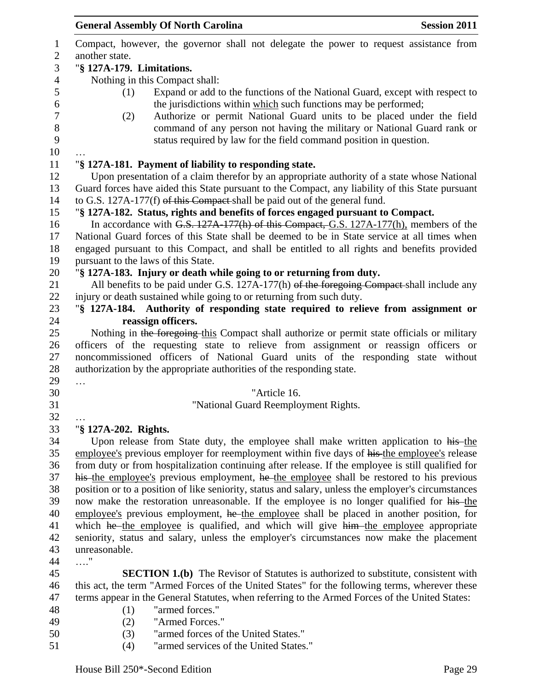|                   | <b>General Assembly Of North Carolina</b><br><b>Session 2011</b>                                                                                                                     |
|-------------------|--------------------------------------------------------------------------------------------------------------------------------------------------------------------------------------|
| 1<br>$\mathbf{2}$ | Compact, however, the governor shall not delegate the power to request assistance from<br>another state.                                                                             |
| 3                 | "§ 127A-179. Limitations.                                                                                                                                                            |
| $\overline{4}$    | Nothing in this Compact shall:                                                                                                                                                       |
| 5                 | Expand or add to the functions of the National Guard, except with respect to<br>(1)                                                                                                  |
| 6                 | the jurisdictions within which such functions may be performed;                                                                                                                      |
| 7                 | Authorize or permit National Guard units to be placed under the field<br>(2)                                                                                                         |
| 8                 | command of any person not having the military or National Guard rank or                                                                                                              |
| 9                 | status required by law for the field command position in question.                                                                                                                   |
| 10<br>11          | "§ 127A-181. Payment of liability to responding state.                                                                                                                               |
| 12                | Upon presentation of a claim therefor by an appropriate authority of a state whose National                                                                                          |
| 13                | Guard forces have aided this State pursuant to the Compact, any liability of this State pursuant                                                                                     |
| 14                | to G.S. 127A-177(f) of this Compact shall be paid out of the general fund.                                                                                                           |
| 15                | "§ 127A-182. Status, rights and benefits of forces engaged pursuant to Compact.                                                                                                      |
| 16                | In accordance with G.S. 127A-177(h) of this Compact, G.S. 127A-177(h), members of the                                                                                                |
| 17                | National Guard forces of this State shall be deemed to be in State service at all times when                                                                                         |
| 18                | engaged pursuant to this Compact, and shall be entitled to all rights and benefits provided                                                                                          |
| 19                | pursuant to the laws of this State.                                                                                                                                                  |
| 20                | "§ 127A-183. Injury or death while going to or returning from duty.                                                                                                                  |
| 21<br>22          | All benefits to be paid under G.S. 127A-177(h) of the foregoing Compact-shall include any<br>injury or death sustained while going to or returning from such duty.                   |
| 23                | "§ 127A-184. Authority of responding state required to relieve from assignment or                                                                                                    |
| 24                | reassign officers.                                                                                                                                                                   |
| 25                | Nothing in the foregoing this Compact shall authorize or permit state officials or military                                                                                          |
| 26                | officers of the requesting state to relieve from assignment or reassign officers or                                                                                                  |
| 27                | noncommissioned officers of National Guard units of the responding state without                                                                                                     |
| 28                | authorization by the appropriate authorities of the responding state.                                                                                                                |
| 29                |                                                                                                                                                                                      |
| 30                | "Article 16.                                                                                                                                                                         |
| 31                | "National Guard Reemployment Rights.                                                                                                                                                 |
| 32                |                                                                                                                                                                                      |
| 33                | "§ 127A-202. Rights.                                                                                                                                                                 |
| 34<br>35          | Upon release from State duty, the employee shall make written application to his-the<br>employee's previous employer for reemployment within five days of his the employee's release |
| 36                | from duty or from hospitalization continuing after release. If the employee is still qualified for                                                                                   |
| 37                | his the employee's previous employment, he the employee shall be restored to his previous                                                                                            |
| 38                | position or to a position of like seniority, status and salary, unless the employer's circumstances                                                                                  |
| 39                | now make the restoration unreasonable. If the employee is no longer qualified for his-the                                                                                            |
| 40                | employee's previous employment, he the employee shall be placed in another position, for                                                                                             |
| 41                | which he the employee is qualified, and which will give him the employee appropriate                                                                                                 |
| 42                | seniority, status and salary, unless the employer's circumstances now make the placement                                                                                             |
| 43                | unreasonable.                                                                                                                                                                        |
| 44                | $\ldots$ "                                                                                                                                                                           |
| 45                | <b>SECTION 1.(b)</b> The Revisor of Statutes is authorized to substitute, consistent with                                                                                            |
| 46                | this act, the term "Armed Forces of the United States" for the following terms, wherever these                                                                                       |
| 47                | terms appear in the General Statutes, when referring to the Armed Forces of the United States:                                                                                       |
| 48                | "armed forces."<br>(1)                                                                                                                                                               |
| 49                | "Armed Forces."<br>(2)                                                                                                                                                               |
| 50                | (3)<br>"armed forces of the United States."                                                                                                                                          |

(4) "armed services of the United States."